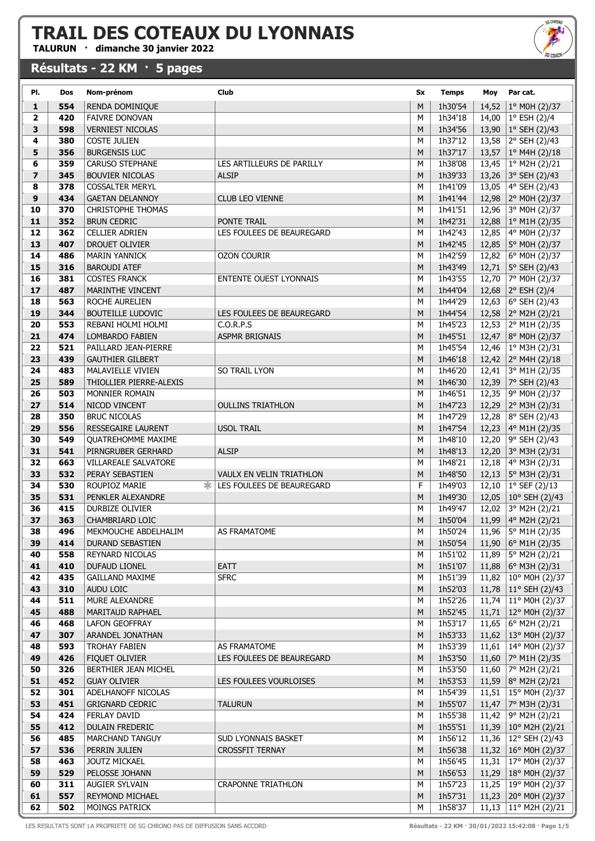TALURUN · dimanche 30 janvier 2022

#### Résultats - 22 KM · 5 pages



| PI.            | Dos        | Nom-prénom                                 | Club                                   | Sx     | <b>Temps</b>       | Moy            | Par cat.                                      |
|----------------|------------|--------------------------------------------|----------------------------------------|--------|--------------------|----------------|-----------------------------------------------|
| $\mathbf{1}$   | 554        | RENDA DOMINIQUE                            |                                        | M      | 1h30'54            | 14,52          | 1° M0H (2)/37                                 |
| $\mathbf{2}$   | 420        | <b>FAIVRE DONOVAN</b>                      |                                        | M      | 1h34'18            | 14,00          | 1° ESH (2)/4                                  |
| 3              | 598        | <b>VERNIEST NICOLAS</b>                    |                                        | M      | 1h34'56            | 13,90          | 1° SEH (2)/43                                 |
| 4              | 380        | <b>COSTE JULIEN</b>                        |                                        | M      | 1h37'12            | 13,58          | 2° SEH (2)/43                                 |
| 5              | 356        | <b>BURGENSIS LUC</b>                       |                                        | M      | 1h37'17            | 13,57          | 1° M4H (2)/18                                 |
| 6              | 359        | <b>CARUSO STEPHANE</b>                     | LES ARTILLEURS DE PARILLY              | M      | 1h38'08            | 13,45          | 1° M2H (2)/21                                 |
| $\overline{ }$ | 345        | <b>BOUVIER NICOLAS</b>                     | <b>ALSIP</b>                           | M      | 1h39'33            | 13,26          | 3° SEH (2)/43                                 |
| 8              | 378        | <b>COSSALTER MERYL</b>                     |                                        | M      | 1h41'09            | 13,05          | 4° SEH (2)/43                                 |
| 9              | 434        | <b>GAETAN DELANNOY</b>                     | <b>CLUB LEO VIENNE</b>                 | M      | 1h41'44            | 12,98          | 2° MOH (2)/37                                 |
| 10             | 370        | <b>CHRISTOPHE THOMAS</b>                   |                                        | M      | 1h41'51            | 12,96          | 3° M0H (2)/37                                 |
| 11             | 352        | <b>BRUN CEDRIC</b>                         | PONTE TRAIL                            | M      | 1h42'31            | 12,88          | 1° M1H (2)/35                                 |
| 12             | 362        | <b>CELLIER ADRIEN</b>                      | LES FOULEES DE BEAUREGARD              | M      | 1h42'43            | 12,85          | 4° M0H (2)/37                                 |
| 13             | 407        | <b>DROUET OLIVIER</b>                      |                                        | M      | 1h42'45            | 12,85          | 5° M0H (2)/37                                 |
| 14             | 486        | <b>MARIN YANNICK</b>                       | <b>OZON COURIR</b>                     | M      | 1h42'59            | 12,82          | 6° M0H (2)/37                                 |
| 15             | 316        | <b>BAROUDI ATEF</b>                        |                                        | M      | 1h43'49            | 12,71          | 5° SEH (2)/43                                 |
| 16             | 381        | <b>COSTES FRANCK</b>                       | <b>ENTENTE OUEST LYONNAIS</b>          | M      | 1h43'55            | 12,70          | 7° M0H (2)/37                                 |
| 17             | 487        | MARINTHE VINCENT                           |                                        | M      | 1h44'04            | 12,68          | 2° ESH (2)/4                                  |
| 18<br>19       | 563<br>344 | ROCHE AURELIEN<br><b>BOUTEILLE LUDOVIC</b> |                                        | M<br>M | 1h44'29            | 12,63          | 6° SEH (2)/43                                 |
| 20             | 553        | REBANI HOLMI HOLMI                         | LES FOULEES DE BEAUREGARD<br>C.O.R.P.S | M      | 1h44'54            | 12,58          | 2° M2H (2)/21                                 |
| 21             | 474        | LOMBARDO FABIEN                            | ASPMR BRIGNAIS                         | M      | 1h45'23<br>1h45'51 | 12,53<br>12,47 | 2° M1H (2)/35<br>8° M0H (2)/37                |
| 22             | 521        | PAILLARD JEAN-PIERRE                       |                                        | M      | 1h45'54            | 12,46          | 1° M3H (2)/31                                 |
| 23             | 439        | <b>GAUTHIER GILBERT</b>                    |                                        | M      | 1h46'18            | 12,42          | 2° M4H (2)/18                                 |
| 24             | 483        | <b>MALAVIELLE VIVIEN</b>                   | <b>SO TRAIL LYON</b>                   | M      | 1h46'20            | 12,41          | 3° M1H (2)/35                                 |
| 25             | 589        | THIOLLIER PIERRE-ALEXIS                    |                                        | M      | 1h46'30            | 12,39          | 7° SEH (2)/43                                 |
| 26             | 503        | MONNIER ROMAIN                             |                                        | M      | 1h46'51            | 12,35          | 9° M0H (2)/37                                 |
| 27             | 514        | NICOD VINCENT                              | <b>OULLINS TRIATHLON</b>               | M      | 1h47'23            | 12,29          | 2° M3H (2)/31                                 |
| 28             | 350        | <b>BRUC NICOLAS</b>                        |                                        | M      | 1h47'29            | 12,28          | 8° SEH (2)/43                                 |
| 29             | 556        | <b>RESSEGAIRE LAURENT</b>                  | <b>USOL TRAIL</b>                      | M      | 1h47'54            | 12,23          | 4° M1H (2)/35                                 |
| 30             | 549        | <b>QUATREHOMME MAXIME</b>                  |                                        | M      | 1h48'10            | 12,20          | 9° SEH (2)/43                                 |
| 31             | 541        | PIRNGRUBER GERHARD                         | <b>ALSIP</b>                           | M      | 1h48'13            | 12,20          | 3° M3H (2)/31                                 |
| 32             | 663        | <b>VILLAREALE SALVATORE</b>                |                                        | M      | 1h48'21            | 12,18          | 4° M3H (2)/31                                 |
| 33             | 532        | PERAY SEBASTIEN                            | VAULX EN VELIN TRIATHLON               | M      | 1h48'50            |                | 12,13 5° M3H (2)/31                           |
| 34             | 530        | ∗.<br>ROUPIOZ MARIE                        | LES FOULEES DE BEAUREGARD              | F      | 1h49'03            |                | 12,10   $1^{\circ}$ SEF (2)/13                |
| 35             | 531        | PENKLER ALEXANDRE                          |                                        | M      | 1h49'30            | 12,05          | 10° SEH (2)/43                                |
| 36             | 415        | <b>DURBIZE OLIVIER</b>                     |                                        | M      | 1h49'47            | 12,02          | 3° M2H (2)/21                                 |
| 37             | 363        | CHAMBRIARD LOIC                            |                                        | M      | 1h50'04            | 11,99          | 4° M2H (2)/21                                 |
| 38             | 496        | MEKMOUCHE ABDELHALIM                       | AS FRAMATOME                           | М      | 1h50'24            | 11,96          | 5° M1H (2)/35                                 |
| 39             | 414        | <b>DURAND SEBASTIEN</b>                    |                                        | M      | 1h50'54            |                | 11,90   6 $\degree$ M1H (2)/35                |
| 40             | 558        | REYNARD NICOLAS                            |                                        | М      | 1h51'02            |                | 11,89 5° M2H (2)/21                           |
| 41             | 410        | <b>DUFAUD LIONEL</b>                       | EATT                                   | M      | 1h51'07            |                | 11,88 6° M3H (2)/31                           |
| 42             | 435        | <b>GAILLAND MAXIME</b>                     | <b>SFRC</b>                            | М      | 1h51'39            |                | 11,82   10° M0H (2)/37                        |
| 43             | 310        | AUDU LOIC                                  |                                        | M      | 1h52'03            |                | 11,78   11° SEH (2)/43                        |
| 44<br>45       | 511<br>488 | MURE ALEXANDRE                             |                                        | М<br>M | 1h52'26<br>1h52'45 |                | 11,74   11° M0H (2)/37                        |
| 46             | 468        | <b>MARITAUD RAPHAEL</b><br>LAFON GEOFFRAY  |                                        | М      | 1h53'17            |                | 11,71   12° M0H (2)/37<br>11,65 6° M2H (2)/21 |
| 47             | 307        | ARANDEL JONATHAN                           |                                        | M      | 1h53'33            |                | 11,62   13° M0H (2)/37                        |
| 48             | 593        | <b>TROHAY FABIEN</b>                       | AS FRAMATOME                           | М      | 1h53'39            | 11,61          | 14° M0H (2)/37                                |
| 49             | 426        | FIQUET OLIVIER                             | LES FOULEES DE BEAUREGARD              | M      | 1h53'50            |                | 11,60   $7^{\circ}$ M1H (2)/35                |
| 50             | 326        | BERTHIER JEAN MICHEL                       |                                        | M      | 1h53'50            | 11,60          | 7° M2H (2)/21                                 |
| 51             | 452        | <b>GUAY OLIVIER</b>                        | LES FOULEES VOURLOISES                 | M      | 1h53'53            |                | 11,59 8° M2H (2)/21                           |
| 52             | 301        | ADELHANOFF NICOLAS                         |                                        | М      | 1h54'39            | 11,51          | 15° M0H (2)/37                                |
| 53             | 451        | <b>GRIGNARD CEDRIC</b>                     | TALURUN                                | М      | 1h55'07            |                | 11,47   $7^{\circ}$ M3H (2)/31                |
| 54             | 424        | FERLAY DAVID                               |                                        | М      | 1h55'38            | 11,42          | 9° M2H (2)/21                                 |
| 55             | 412        | <b>DULAIN FREDERIC</b>                     |                                        | M      | 1h55'51            |                | 11,39 10° M2H (2)/21                          |
| 56             | 485        | MARCHAND TANGUY                            | <b>SUD LYONNAIS BASKET</b>             | M      | 1h56'12            |                | 11,36   12° SEH (2)/43                        |
| 57             | 536        | PERRIN JULIEN                              | <b>CROSSFIT TERNAY</b>                 | M      | 1h56'38            |                | 11,32   $16^{\circ}$ M0H (2)/37               |
| 58             | 463        | <b>JOUTZ MICKAEL</b>                       |                                        | М      | 1h56'45            |                | 11,31   17° M0H (2)/37                        |
| 59             | 529        | PELOSSE JOHANN                             |                                        | M      | 1h56'53            |                | 11,29   18° MOH (2)/37                        |
| 60             | 311        | AUGIER SYLVAIN                             | <b>CRAPONNE TRIATHLON</b>              | M      | 1h57'23            |                | 11,25   19° M0H (2)/37                        |
| 61             | 557        | REYMOND MICHAEL                            |                                        | M      | 1h57'31            |                | 11,23 20° M0H (2)/37                          |
| 62             | 502        | MOINGS PATRICK                             |                                        | М      | 1h58'37            |                | 11,13   11° M2H (2)/21                        |

LES RESULTATS SONT LA PROPRIETE DE SG CHRONO PAS DE DIFFUSION SANS ACCORD **Résultats - 22 KM · 30/01/2022 15:42:08 · Page 1/5**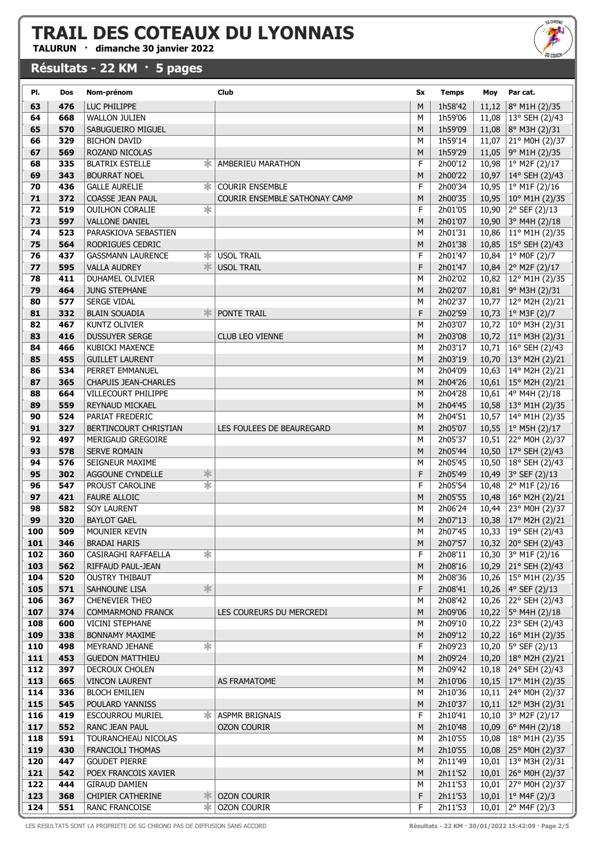TALURUN · dimanche 30 janvier 2022

#### Résultats - 22 KM · 5 pages



| PI.        | Dos        | Nom-prénom                                          | Club                          | Sx     | <b>Temps</b>       | Moy            | Par cat.                                                          |
|------------|------------|-----------------------------------------------------|-------------------------------|--------|--------------------|----------------|-------------------------------------------------------------------|
| 63         | 476        | LUC PHILIPPE                                        |                               | M      | 1h58'42            | 11,12          | 8° M1H (2)/35                                                     |
| 64         | 668        | <b>WALLON JULIEN</b>                                |                               | M      | 1h59'06            | 11,08          | 13° SEH (2)/43                                                    |
| 65         | 570        | SABUGUEIRO MIGUEL                                   |                               | M      | 1h59'09            | 11,08          | 8° M3H (2)/31                                                     |
| 66         | 329        | <b>BICHON DAVID</b>                                 |                               | M      | 1h59'14            | 11,07          | 21° M0H (2)/37                                                    |
| 67         | 569        | ROZAND NICOLAS                                      |                               | M      | 1h59'29            | 11,05          | 9° M1H (2)/35                                                     |
| 68         | 335        | <b>BLATRIX ESTELLE</b><br>∗.                        | AMBERIEU MARATHON             | F      | 2h00'12            | 10,98          | 1° M2F (2)/17                                                     |
| 69         | 343        | <b>BOURRAT NOEL</b>                                 |                               | M      | 2h00'22            | 10,97          | 14° SEH (2)/43                                                    |
| 70         | 436        | <b>GALLE AURELIE</b><br>Ж.                          | <b>COURIR ENSEMBLE</b>        | F      | 2h00'34            | 10,95          | 1º M1F (2)/16                                                     |
| 71         | 372        | <b>COASSE JEAN PAUL</b>                             | COURIR ENSEMBLE SATHONAY CAMP | M      | 2h00'35            | 10,95          | 10° M1H (2)/35                                                    |
| 72         | 519        | $\overline{\ast}$<br><b>OUILHON CORALIE</b>         |                               | F      | 2h01'05            | 10,90          | 2° SEF (2)/13                                                     |
| 73         | 597        | <b>VALLONE DANIEL</b>                               |                               | M      | 2h01'07            |                | 10,90 3° M4H (2)/18                                               |
| 74         | 523        | PARASKIOVA SEBASTIEN                                |                               | M      | 2h01'31            | 10,86          | $11^{\circ}$ M1H (2)/35                                           |
| 75         | 564        | RODRIGUES CEDRIC                                    |                               | M      | 2h01'38            | 10,85          | $15^{\circ}$ SEH (2)/43                                           |
| 76         | 437        | ∗.<br><b>GASSMANN LAURENCE</b>                      | <b>USOL TRAIL</b>             | F      | 2h01'47            | 10,84          | 1° MOF (2)/7                                                      |
| 77         | 595        | <b>VALLA AUDREY</b>                                 | <b>W</b> USOL TRAIL           | F      | 2h01'47            | 10,84          | 2° M2F (2)/17                                                     |
| 78         | 411        | <b>DUHAMEL OLIVIER</b>                              |                               | M      | 2h02'02            | 10,82          | 12° M1H (2)/35                                                    |
| 79         | 464        | <b>JUNG STEPHANE</b>                                |                               | M      | 2h02'07            | 10,81          | $9°$ M3H (2)/31                                                   |
| 80         | 577        | <b>SERGE VIDAL</b>                                  |                               | M      | 2h02'37            | 10,77          | 12° M2H (2)/21                                                    |
| 81         | 332        | <b>BLAIN SOUADIA</b>                                | PONTE TRAIL                   | F      | 2h02'59            | 10,73          | $1°$ M3F (2)/7                                                    |
| 82         | 467        | <b>KUNTZ OLIVIER</b>                                |                               | M      | 2h03'07            | 10,72          | $10^{\circ}$ M3H (2)/31                                           |
| 83<br>84   | 416        | <b>DUSSUYER SERGE</b>                               | <b>CLUB LEO VIENNE</b>        | M      | 2h03'08            | 10,72          | 11° M3H (2)/31                                                    |
| 85         | 466<br>455 | <b>KUBICKI MAXENCE</b><br><b>GUILLET LAURENT</b>    |                               | M<br>M | 2h03'17<br>2h03'19 | 10,71          | 16° SEH (2)/43<br>13° M2H (2)/21                                  |
| 86         | 534        | PERRET EMMANUEL                                     |                               | M      | 2h04'09            | 10,70<br>10,63 | 14° M2H (2)/21                                                    |
| 87         | 365        | <b>CHAPUIS JEAN-CHARLES</b>                         |                               | M      | 2h04'26            | 10,61          | $15^{\circ}$ M2H (2)/21                                           |
| 88         | 664        | VILLECOURT PHILIPPE                                 |                               | M      | 2h04'28            | 10,61          | 4° M4H (2)/18                                                     |
| 89         | 559        | REYNAUD MICKAEL                                     |                               | M      | 2h04'45            | 10,58          | 13° M1H (2)/35                                                    |
| 90         | 524        | PARIAT FREDERIC                                     |                               | M      | 2h04'51            | 10,57          | 14° M1H (2)/35                                                    |
| 91         | 327        | BERTINCOURT CHRISTIAN                               | LES FOULEES DE BEAUREGARD     | M      | 2h05'07            | 10,55          | 1° M5H (2)/17                                                     |
| 92         | 497        | MERIGAUD GREGOIRE                                   |                               | M      | 2h05'37            | 10,51          | 22° M0H (2)/37                                                    |
| 93         | 578        | SERVE ROMAIN                                        |                               | M      | 2h05'44            | 10,50          | $17°$ SEH (2)/43                                                  |
| 94         | 576        | SEIGNEUR MAXIME                                     |                               | M      | 2h05'45            | 10,50          | 18° SEH (2)/43                                                    |
| 95         | 302        | ∗<br>AGGOUNE CYNDELLE                               |                               | F      | 2h05'49            | 10,49          | 3° SEF (2)/13                                                     |
| 96         | 547        | $\overline{\ast}$<br>PROUST CAROLINE                |                               | F      | 2h05'54            | 10,48          | 2° M1F (2)/16                                                     |
| 97         | 421        | <b>FAURE ALLOIC</b>                                 |                               | M      | 2h05'55            | 10,48          | $16^{\circ}$ M2H (2)/21                                           |
| 98         | 582        | <b>SOY LAURENT</b>                                  |                               | M      | 2h06'24            | 10,44          | 23° M0H (2)/37                                                    |
| 99         | 320        | <b>BAYLOT GAEL</b>                                  |                               | M      | 2h07'13            |                | 10,38   17° M2H (2)/21                                            |
| 100        | 509        | MOUNIER KEVIN                                       |                               | М      | 2h07'45            |                | 10,33 19° SEH (2)/43                                              |
| 101        | 346        | <b>BRADAI HARIS</b>                                 |                               | M      | 2h07'57            |                | 10,32 20° SEH (2)/43                                              |
| 102        | 360        | $\overline{\ast}$<br>CASIRAGHI RAFFAELLA            |                               | F      | 2h08'11            | 10,30          | 3° M1F (2)/16                                                     |
| 103        | 562        | RIFFAUD PAUL-JEAN                                   |                               | M      | 2h08'16            |                | 10,29 21° SEH (2)/43                                              |
| 104        | 520        | <b>OUSTRY THIBAUT</b>                               |                               | M      | 2h08'36            | 10,26          | 15° M1H (2)/35                                                    |
| 105        | 571        | $\ast$<br>SAHNOUNE LISA                             |                               | F      | 2h08'41            |                | 10,26 4° SEF (2)/13                                               |
| 106        | 367        | <b>CHENEVIER THEO</b>                               |                               | M      | 2h08'42            | 10,26          | $ 22^{\circ}$ SEH (2)/43                                          |
| 107        | 374        | <b>COMMARMOND FRANCK</b>                            | LES COUREURS DU MERCREDI      | M      | 2h09'06            | 10,22          | 5° M4H (2)/18                                                     |
| 108<br>109 | 600        | <b>VICINI STEPHANE</b>                              |                               | М      | 2h09'10            | 10,22          | 23° SEH (2)/43                                                    |
| 110        | 338<br>498 | <b>BONNAMY MAXIME</b><br>☀<br><b>MEYRAND JEHANE</b> |                               | M<br>F | 2h09'12<br>2h09'23 |                | 10,22   $16^{\circ}$ M1H (2)/35<br>10,20   $5^{\circ}$ SEF (2)/13 |
| 111        | 453        | <b>GUEDON MATTHIEU</b>                              |                               | M      | 2h09'24            |                | 10,20   18° M2H (2)/21                                            |
| 112        | 397        | <b>DECROUX CHOLEN</b>                               |                               | M      | 2h09'42            |                | 10,18 24° SEH (2)/43                                              |
| 113        | 665        | <b>VINCON LAURENT</b>                               | AS FRAMATOME                  | M      | 2h10'06            |                | 10,15   17° M1H (2)/35                                            |
| 114        | 336        | <b>BLOCH EMILIEN</b>                                |                               | М      | 2h10'36            | 10,11          | 24° M0H (2)/37                                                    |
| 115        | 545        | POULARD YANNISS                                     |                               | M      | 2h10'37            |                | 10,11   12° M3H (2)/31                                            |
| 116        | 419        | <b>ESCOURROU MURIEL</b>                             | <b>* ASPMR BRIGNAIS</b>       | F      | 2h10'41            | 10,10          | 3° M2F (2)/17                                                     |
| 117        | 552        | RANC JEAN PAUL                                      | <b>OZON COURIR</b>            | M      | 2h10'48            | 10,09          | 6° M4H (2)/18                                                     |
| 118        | 591        | TOURANCHEAU NICOLAS                                 |                               | М      | 2h10'55            | 10,08          | 18° M1H (2)/35                                                    |
| 119        | 430        | <b>FRANCIOLI THOMAS</b>                             |                               | M      | 2h10'55            | 10,08          | 25° M0H (2)/37                                                    |
| 120        | 447        | <b>GOUDET PIERRE</b>                                |                               | М      | 2h11'49            | 10,01          | 13° M3H (2)/31                                                    |
| 121        | 542        | POEX FRANCOIS XAVIER                                |                               | M      | 2h11'52            | 10,01          | 26° M0H (2)/37                                                    |
| 122        | 444        | <b>GIRAUD DAMIEN</b>                                |                               | М      | 2h11'53            | 10,01          | 27° M0H (2)/37                                                    |
| 123        | 368        | CHIPIER CATHERINE                                   | $\parallel$ OZON COURIR       | F      | 2h11'53            |                | 10,01   $1^{\circ}$ M4F (2)/3                                     |
| 124        | 551        | RANC FRANCOISE                                      | <b>☀ OZON COURIR</b>          | F      | 2h11'53            | 10,01          | 2° M4F (2)/3                                                      |

LES RESULTATS SONT LA PROPRIETE DE SG CHRONO PAS DE DIFFUSION SANS ACCORD **Résultats - 22 KM · 30/01/2022 15:42:09 · Page 2/5**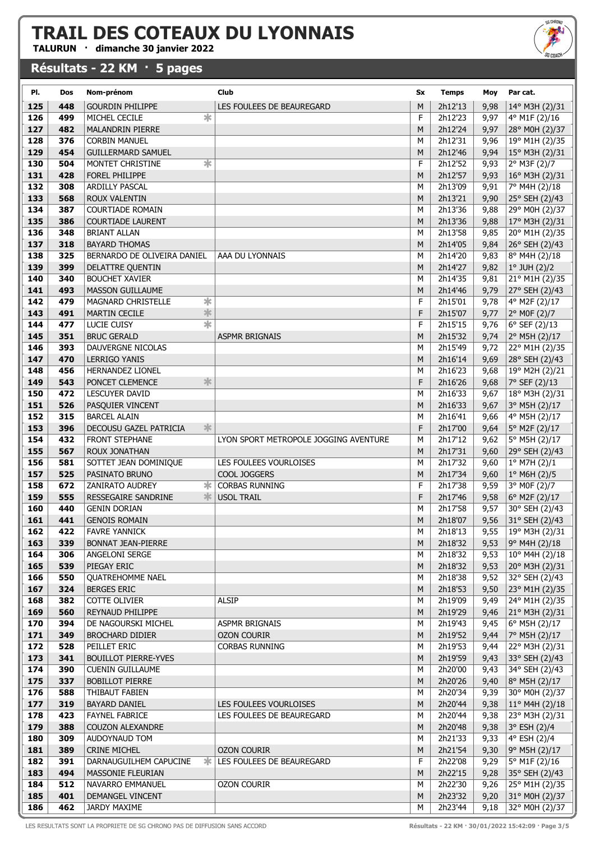TALURUN · dimanche 30 janvier 2022

#### Résultats - 22 KM · 5 pages

| SG CHRONO       |
|-----------------|
| <b>SG COACH</b> |
|                 |

| PI.        | Dos        | Nom-prénom                              | Club                                        | Sx     | <b>Temps</b>       | Moy          | Par cat.                         |
|------------|------------|-----------------------------------------|---------------------------------------------|--------|--------------------|--------------|----------------------------------|
| 125        | 448        | <b>GOURDIN PHILIPPE</b>                 | LES FOULEES DE BEAUREGARD                   | M      | 2h12'13            | 9,98         | 14° M3H (2)/31                   |
| 126        | 499        | ∗<br>MICHEL CECILE                      |                                             | F      | 2h12'23            | 9,97         | 4° M1F (2)/16                    |
| 127        | 482        | <b>MALANDRIN PIERRE</b>                 |                                             | M      | 2h12'24            | 9,97         | 28° M0H (2)/37                   |
| 128        | 376        | <b>CORBIN MANUEL</b>                    |                                             | M      | 2h12'31            | 9,96         | 19° M1H (2)/35                   |
| 129        | 454        | <b>GUILLERMARD SAMUEL</b>               |                                             | M      | 2h12'46            | 9,94         | 15° M3H (2)/31                   |
| 130        | 504        | ∗<br>MONTET CHRISTINE                   |                                             | F      | 2h12'52            | 9,93         | 2° M3F (2)/7                     |
| 131        | 428        | FOREL PHILIPPE                          |                                             | M      | 2h12'57            | 9,93         | 16° M3H (2)/31                   |
| 132        | 308        | <b>ARDILLY PASCAL</b>                   |                                             | M      | 2h13'09            | 9,91         | 7° M4H (2)/18                    |
| 133        | 568        | <b>ROUX VALENTIN</b>                    |                                             | M      | 2h13'21            | 9,90         | 25° SEH (2)/43                   |
| 134        | 387        | <b>COURTIADE ROMAIN</b>                 |                                             | M      | 2h13'36            | 9,88         | 29° M0H (2)/37                   |
| 135        | 386        | <b>COURTIADE LAURENT</b>                |                                             | M      | 2h13'36            | 9,88         | 17° M3H (2)/31                   |
| 136        | 348        | <b>BRIANT ALLAN</b>                     |                                             | M      | 2h13'58            | 9,85         | 20° M1H (2)/35                   |
| 137        | 318        | <b>BAYARD THOMAS</b>                    |                                             | M      | 2h14'05            | 9,84         | 26° SEH (2)/43                   |
| 138        | 325        | BERNARDO DE OLIVEIRA DANIEL             | AAA DU LYONNAIS                             | M      | 2h14'20            | 9,83         | 8° M4H (2)/18                    |
| 139        | 399        | DELATTRE QUENTIN                        |                                             | M      | 2h14'27            | 9,82         | $1°$ JUH $(2)/2$                 |
| 140        | 340        | <b>BOUCHET XAVIER</b>                   |                                             | M      | 2h14'35            | 9,81         | 21° M1H (2)/35                   |
| 141        | 493        | <b>MASSON GUILLAUME</b>                 |                                             | M      | 2h14'46            | 9,79         | 27° SEH (2)/43                   |
| 142        | 479        | $\overline{\ast}$<br>MAGNARD CHRISTELLE |                                             | F      | 2h15'01            | 9,78         | 4° M2F (2)/17                    |
| 143        | 491        | $\ast$<br>MARTIN CECILE                 |                                             | F      | 2h15'07            | 9,77         | 2° MOF (2)/7                     |
| 144        | 477        | $\overline{\ast}$<br><b>LUCIE CUISY</b> |                                             | F      | 2h15'15            | 9,76         | $6^{\circ}$ SEF (2)/13           |
| 145        | 351        | <b>BRUC GERALD</b>                      | <b>ASPMR BRIGNAIS</b>                       | M      | 2h15'32            | 9,74         | 2° M5H (2)/17                    |
| 146        | 393        | DAUVERGNE NICOLAS                       |                                             | M      | 2h15'49            | 9,72         | 22° M1H (2)/35                   |
| 147        | 470        | <b>LERRIGO YANIS</b>                    |                                             | M      | 2h16'14            | 9,69         | 28° SEH (2)/43                   |
| 148        | 456        | HERNANDEZ LIONEL                        |                                             | М      | 2h16'23            | 9,68         | 19° M2H (2)/21                   |
| 149        | 543        | $\ast$<br>PONCET CLEMENCE               |                                             | F      | 2h16'26            | 9,68         | 7° SEF (2)/13                    |
| 150<br>151 | 472<br>526 | LESCUYER DAVID                          |                                             | M      | 2h16'33            | 9,67         | 18° M3H (2)/31                   |
| 152        | 315        | PASQUIER VINCENT<br><b>BARCEL ALAIN</b> |                                             | M<br>M | 2h16'33<br>2h16'41 | 9,67<br>9,66 | 3° M5H (2)/17<br>4° M5H (2)/17   |
| 153        | 396        | ∗<br>DECOUSU GAZEL PATRICIA             |                                             | F      | 2h17'00            | 9,64         | 5° M2F (2)/17                    |
| 154        | 432        | <b>FRONT STEPHANE</b>                   | LYON SPORT METROPOLE JOGGING AVENTURE       | M      | 2h17'12            | 9,62         | 5° M5H (2)/17                    |
| 155        | 567        | ROUX JONATHAN                           |                                             | M      | 2h17'31            | 9,60         | 29° SEH (2)/43                   |
| 156        | 581        | SOTTET JEAN DOMINIQUE                   | LES FOULEES VOURLOISES                      | M      | 2h17'32            | 9,60         | $1^{\circ}$ M7H (2)/1            |
| 157        | 525        | PASINATO BRUNO                          | COOL JOGGERS                                | M      | 2h17'34            | 9,60         | $1^{\circ}$ M6H (2)/5            |
| 158        | 672        | ZANIRATO AUDREY<br>ж                    | <b>CORBAS RUNNING</b>                       | F      | 2h17'38            | 9,59         | 3° MOF (2)/7                     |
| 159        | 555        | 氺<br>RESSEGAIRE SANDRINE                | <b>USOL TRAIL</b>                           | F      | 2h17'46            | 9,58         | 6° M2F (2)/17                    |
| 160        | 440        | <b>GENIN DORIAN</b>                     |                                             | M      | 2h17'58            | 9,57         | 30° SEH (2)/43                   |
| 161        | 441        | <b>GENOIS ROMAIN</b>                    |                                             | M      | 2h18'07            | 9,56         | 31° SEH (2)/43                   |
| 162        | 422        | <b>FAVRE YANNICK</b>                    |                                             | M      | 2h18'13            |              | 9,55 19° M3H (2)/31              |
| 163        | 339        | <b>BONNAT JEAN-PIERRE</b>               |                                             | M      | 2h18'32            | 9,53         | 9° M4H (2)/18                    |
| 164        | 306        | ANGELONI SERGE                          |                                             | M      | 2h18'32            | 9,53         | 10° M4H (2)/18                   |
| 165        | 539        | PIEGAY ERIC                             |                                             | M      | 2h18'32            | 9,53         | 20° M3H (2)/31                   |
| 166        | 550        | <b>OUATREHOMME NAEL</b>                 |                                             | M      | 2h18'38            | 9,52         | 32° SEH (2)/43                   |
| 167        | 324        | <b>BERGES ERIC</b>                      |                                             | M      | 2h18'53            | 9,50         | 23° M1H (2)/35                   |
| 168        | 382        | COTTE OLIVIER                           | <b>ALSIP</b>                                | M      | 2h19'09            | 9,49         | 24° M1H (2)/35                   |
| 169        | 560        | REYNAUD PHILIPPE                        |                                             | M      | 2h19'29            | 9,46         | 21° M3H (2)/31                   |
| 170        | 394        | DE NAGOURSKI MICHEL                     | <b>ASPMR BRIGNAIS</b>                       | M      | 2h19'43            | 9,45         | 6° M5H (2)/17                    |
| 171<br>172 | 349<br>528 | <b>BROCHARD DIDIER</b><br>PEILLET ERIC  | <b>OZON COURIR</b><br><b>CORBAS RUNNING</b> | M<br>M | 2h19'52<br>2h19'53 | 9,44         | 7° M5H (2)/17                    |
| 173        | 341        | <b>BOUILLOT PIERRE-YVES</b>             |                                             | M      | 2h19'59            | 9,44<br>9,43 | 22° M3H (2)/31<br>33° SEH (2)/43 |
| 174        | 390        | <b>CUENIN GUILLAUME</b>                 |                                             | M      | 2h20'00            | 9,43         | 34° SEH (2)/43                   |
| 175        | 337        | <b>BOBILLOT PIERRE</b>                  |                                             | М      | 2h20'26            | 9,40         | 8° M5H (2)/17                    |
| 176        | 588        | THIBAUT FABIEN                          |                                             | M      | 2h20'34            | 9,39         | 30° M0H (2)/37                   |
| 177        | 319        | <b>BAYARD DANIEL</b>                    | LES FOULEES VOURLOISES                      | M      | 2h20'44            | 9,38         | 11° M4H (2)/18                   |
| 178        | 423        | <b>FAYNEL FABRICE</b>                   | LES FOULEES DE BEAUREGARD                   | M      | 2h20'44            | 9,38         | 23° M3H (2)/31                   |
| 179        | 388        | <b>COUZON ALEXANDRE</b>                 |                                             | M      | 2h20'48            | 9,38         | 3° ESH (2)/4                     |
| 180        | 309        | AUDOYNAUD TOM                           |                                             | М      | 2h21'33            | 9,33         | 4° ESH (2)/4                     |
| 181        | 389        | <b>CRINE MICHEL</b>                     | <b>OZON COURIR</b>                          | M      | 2h21'54            | 9,30         | 9° M5H (2)/17                    |
| 182        | 391        | DARNAUGUILHEM CAPUCINE<br>Ж.            | LES FOULEES DE BEAUREGARD                   | F      | 2h22'08            | 9,29         | 5° M1F (2)/16                    |
| 183        | 494        | MASSONIE FLEURIAN                       |                                             | M      | 2h22'15            | 9,28         | 35° SEH (2)/43                   |
| 184        | 512        | NAVARRO EMMANUEL                        | <b>OZON COURIR</b>                          | M      | 2h22'30            | 9,26         | 25° M1H (2)/35                   |
| 185        | 401        | DEMANGEL VINCENT                        |                                             | M      | 2h23'32            | 9,20         | 31° M0H (2)/37                   |
| 186        | 462        | JARDY MAXIME                            |                                             | М      | 2h23'44            | 9,18         | 32° M0H (2)/37                   |

LES RESULTATS SONT LA PROPRIETE DE SG CHRONO PAS DE DIFFUSION SANS ACCORD<br>
Résultats - 22 KM · 30/01/2022 15:42:09 · Page 3/5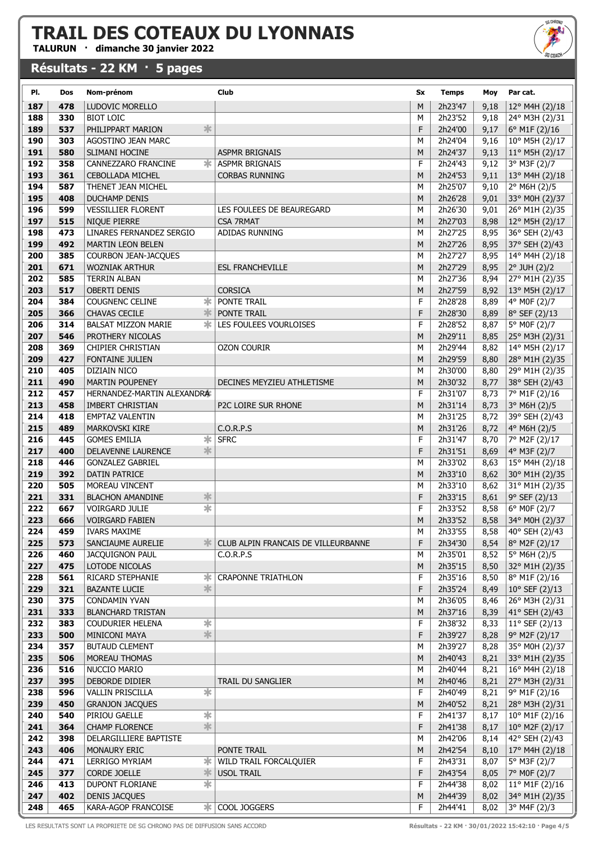TALURUN · dimanche 30 janvier 2022

#### Résultats - 22 KM · 5 pages



| PI.        | Dos        | Nom-prénom                                                | Club                                | Sx     | <b>Temps</b>       | Moy          | Par cat.                         |
|------------|------------|-----------------------------------------------------------|-------------------------------------|--------|--------------------|--------------|----------------------------------|
| 187        | 478        | LUDOVIC MORELLO                                           |                                     | M      | 2h23'47            | 9,18         | $12^{\circ}$ M4H (2)/18          |
| 188        | 330        | <b>BIOT LOIC</b>                                          |                                     | M      | 2h23'52            | 9,18         | 24° M3H (2)/31                   |
| 189        | 537        | $\ast$<br>PHILIPPART MARION                               |                                     | F      | 2h24'00            | 9,17         | 6° M1F (2)/16                    |
| 190        | 303        | AGOSTINO JEAN MARC                                        |                                     | М      | 2h24'04            | 9,16         | 10° M5H (2)/17                   |
| 191        | 580        | SLIMANI HOCINE                                            | <b>ASPMR BRIGNAIS</b>               | M      | 2h24'37            | 9,13         | $11^{\circ}$ M5H (2)/17          |
| 192        | 358        | ∗<br>CANNEZZARO FRANCINE                                  | ASPMR BRIGNAIS                      | F      | 2h24'43            | 9,12         | 3° M3F (2)/7                     |
| 193        | 361        | <b>CEBOLLADA MICHEL</b>                                   | <b>CORBAS RUNNING</b>               | M      | 2h24'53            | 9,11         | 13° M4H (2)/18                   |
| 194        | 587        | THENET JEAN MICHEL                                        |                                     | M      | 2h25'07            | 9,10         | 2° M6H (2)/5                     |
| 195        | 408        | <b>DUCHAMP DENIS</b>                                      |                                     | M      | 2h26'28            | 9,01         | 33° M0H (2)/37                   |
| 196        | 599        | <b>VESSILLIER FLORENT</b>                                 | LES FOULEES DE BEAUREGARD           | М      | 2h26'30            | 9,01         | 26° M1H (2)/35                   |
| 197        | 515        | NIQUE PIERRE                                              | <b>CSA 7RMAT</b>                    | M      | 2h27'03            | 8,98         | 12° M5H (2)/17                   |
| 198        | 473        | LINARES FERNANDEZ SERGIO                                  | ADIDAS RUNNING                      | М      | 2h27'25            | 8,95         | 36° SEH (2)/43                   |
| 199        | 492        | <b>MARTIN LEON BELEN</b>                                  |                                     | M      | 2h27'26            | 8,95         | 37° SEH (2)/43                   |
| 200        | 385        | COURBON JEAN-JACQUES                                      |                                     | M      | 2h27'27            | 8,95         | 14° M4H (2)/18                   |
| 201        | 671        | <b>WOZNIAK ARTHUR</b>                                     | <b>ESL FRANCHEVILLE</b>             | M      | 2h27'29            | 8,95         | 2° JUH (2)/2                     |
| 202        | 585        | <b>TERRIN ALBAN</b>                                       |                                     | M      | 2h27'36            | 8,94         | 27° M1H (2)/35                   |
| 203        | 517        | <b>OBERTI DENIS</b>                                       | <b>CORSICA</b>                      | M      | 2h27'59            | 8,92         | 13° M5H (2)/17                   |
| 204        | 384        | ∗<br><b>COUGNENC CELINE</b>                               | PONTE TRAIL                         | F      | 2h28'28            | 8,89         | 4° MOF (2)/7                     |
| 205        | 366        | 氺<br><b>CHAVAS CECILE</b>                                 | PONTE TRAIL                         | F      | 2h28'30            | 8,89         | 8° SEF (2)/13                    |
| 206        | 314        | ж.<br><b>BALSAT MIZZON MARIE</b>                          | LES FOULEES VOURLOISES              | F      | 2h28'52            | 8,87         | 5° MOF (2)/7                     |
| 207        | 546        | PROTHERY NICOLAS                                          |                                     | M      | 2h29'11            | 8,85         | 25° M3H (2)/31                   |
| 208        | 369        | <b>CHIPIER CHRISTIAN</b>                                  | <b>OZON COURIR</b>                  | M      | 2h29'44            | 8,82         | 14° M5H (2)/17                   |
| 209        | 427        | <b>FONTAINE JULIEN</b>                                    |                                     | M      | 2h29'59            | 8,80         | 28° M1H (2)/35                   |
| 210        | 405        | DIZIAIN NICO                                              |                                     | M      | 2h30'00            | 8,80         | 29° M1H (2)/35                   |
| 211        | 490        | <b>MARTIN POUPENEY</b>                                    | DECINES MEYZIEU ATHLETISME          | M      | 2h30'32            | 8,77         | 38° SEH (2)/43                   |
| 212        | 457        | HERNANDEZ-MARTIN ALEXANDRA                                |                                     | F      | 2h31'07            | 8,73         | 7° M1F (2)/16                    |
| 213<br>214 | 458<br>418 | IMBERT CHRISTIAN<br><b>EMPTAZ VALENTIN</b>                | P2C LOIRE SUR RHONE                 | M<br>M | 2h31'14<br>2h31'25 | 8,73         | 3° M6H (2)/5<br>39° SEH (2)/43   |
| 215        | 489        | <b>MARKOVSKI KIRE</b>                                     | C.0.R.P.S                           | M      | 2h31'26            | 8,72<br>8,72 | 4° M6H (2)/5                     |
| 216        | 445        | $\overline{\ast}$<br><b>GOMES EMILIA</b>                  | <b>SFRC</b>                         | F      | 2h31'47            | 8,70         | 7° M2F (2)/17                    |
| 217        | 400        | 氺<br>DELAVENNE LAURENCE                                   |                                     | F      | 2h31'51            | 8,69         | 4° M3F (2)/7                     |
| 218        | 446        | <b>GONZALEZ GABRIEL</b>                                   |                                     | M      | 2h33'02            | 8,63         | 15° M4H (2)/18                   |
| 219        | 392        | <b>DATIN PATRICE</b>                                      |                                     | M      | 2h33'10            | 8,62         | 30° M1H (2)/35                   |
| 220        | 505        | MOREAU VINCENT                                            |                                     | M      | 2h33'10            | 8,62         | 31° M1H (2)/35                   |
| 221        | 331        | $\ast$<br><b>BLACHON AMANDINE</b>                         |                                     | F      | 2h33'15            | 8,61         | 9° SEF (2)/13                    |
| 222        | 667        | $\overline{\ast}$<br><b>VOIRGARD JULIE</b>                |                                     | F      | 2h33'52            | 8,58         | 6° M0F (2)/7                     |
| 223        | 666        | <b>VOIRGARD FABIEN</b>                                    |                                     | M      | 2h33'52            | 8,58         | 34° M0H (2)/37                   |
| 224        | 459        | <b>IVARS MAXIME</b>                                       |                                     | M      | 2h33'55            | 8,58         | $\sqrt{40^{\circ} SEH (2)/43}$   |
| 225        | 573        | SANCIAUME AURELIE<br>≭                                    | CLUB ALPIN FRANCAIS DE VILLEURBANNE | F      | 2h34'30            | 8,54         | 8° M2F (2)/17                    |
| 226        | 460        | <b>JACQUIGNON PAUL</b>                                    | C.O.R.P.S                           | M      | 2h35'01            | 8,52         | 5° M6H (2)/5                     |
| 227        | 475        | LOTODE NICOLAS                                            |                                     | M      | 2h35'15            | 8,50         | 32° M1H (2)/35                   |
| 228        | 561        | ∗<br>RICARD STEPHANIE                                     | <b>CRAPONNE TRIATHLON</b>           | F      | 2h35'16            | 8,50         | 8° M1F (2)/16                    |
| 229        | 321        | 氺<br><b>BAZANTE LUCIE</b>                                 |                                     | F      | 2h35'24            | 8,49         | $10^{\circ}$ SEF (2)/13          |
| 230        | 375        | CONDAMIN YVAN                                             |                                     | M      | 2h36'05            | 8,46         | 26° M3H (2)/31                   |
| 231        | 333        | <b>BLANCHARD TRISTAN</b>                                  |                                     | M      | 2h37'16            | 8,39         | 41° SEH (2)/43                   |
| 232<br>233 | 383<br>500 | $\ast$<br><b>COUDURIER HELENA</b><br>$\frac{1}{\sqrt{2}}$ |                                     | F      | 2h38'32<br>2h39'27 | 8,33         | $11^{\circ}$ SEF (2)/13          |
| 234        | 357        | <b>MINICONI MAYA</b><br><b>BUTAUD CLEMENT</b>             |                                     | F<br>М | 2h39'27            | 8,28<br>8,28 | 9° M2F (2)/17                    |
| 235        | 506        | MOREAU THOMAS                                             |                                     | M      | 2h40'43            | 8,21         | 35° M0H (2)/37<br>33° M1H (2)/35 |
| 236        | 516        | NUCCIO MARIO                                              |                                     | М      | 2h40'44            | 8,21         | 16° M4H (2)/18                   |
| 237        | 395        | DEBORDE DIDIER                                            | TRAIL DU SANGLIER                   | M      | 2h40'46            | 8,21         | 27° M3H (2)/31                   |
| 238        | 596        | $\overline{\ast}$<br><b>VALLIN PRISCILLA</b>              |                                     | F      | 2h40'49            | 8,21         | 9° M1F (2)/16                    |
| 239        | 450        | <b>GRANJON JACQUES</b>                                    |                                     | M      | 2h40'52            | 8,21         | 28° M3H (2)/31                   |
| 240        | 540        | $\overline{\ast}$<br>PIRIOU GAELLE                        |                                     | F      | 2h41'37            | 8,17         | 10° M1F (2)/16                   |
| 241        | 364        | $\ast$<br><b>CHAMP FLORENCE</b>                           |                                     | F      | 2h41'38            | 8,17         | 10° M2F (2)/17                   |
| 242        | 398        | DELARGILLIERE BAPTISTE                                    |                                     | М      | 2h42'06            | 8,14         | 42° SEH (2)/43                   |
| 243        | 406        | MONAURY ERIC                                              | PONTE TRAIL                         | M      | 2h42'54            | 8,10         | 17° M4H (2)/18                   |
| 244        | 471        | LERRIGO MYRIAM<br>ж                                       | WILD TRAIL FORCALQUIER              | F      | 2h43'31            | 8,07         | 5° M3F (2)/7                     |
| 245        | 377        | ∗<br><b>CORDE JOELLE</b>                                  | <b>USOL TRAIL</b>                   | F      | 2h43'54            | 8,05         | 7° MOF (2)/7                     |
| 246        | 413        | $\overline{\ast}$<br><b>DUPONT FLORIANE</b>               |                                     | F      | 2h44'38            | 8,02         | $11^{\circ}$ M1F (2)/16          |
| 247        | 402        | <b>DENIS JACQUES</b>                                      |                                     | M      | 2h44'39            | 8,02         | 34° M1H (2)/35                   |
| 248        | 465        | KARA-AGOP FRANCOISE<br>ж                                  | COOL JOGGERS                        | F      | 2h44'41            | 8,02         | 3° M4F (2)/3                     |

LES RESULTATS SONT LA PROPRIETE DE SG CHRONO PAS DE DIFFUSION SANS ACCORD **Résultats - 22 KM · 30/01/2022 15:42:10 · Page 4/5**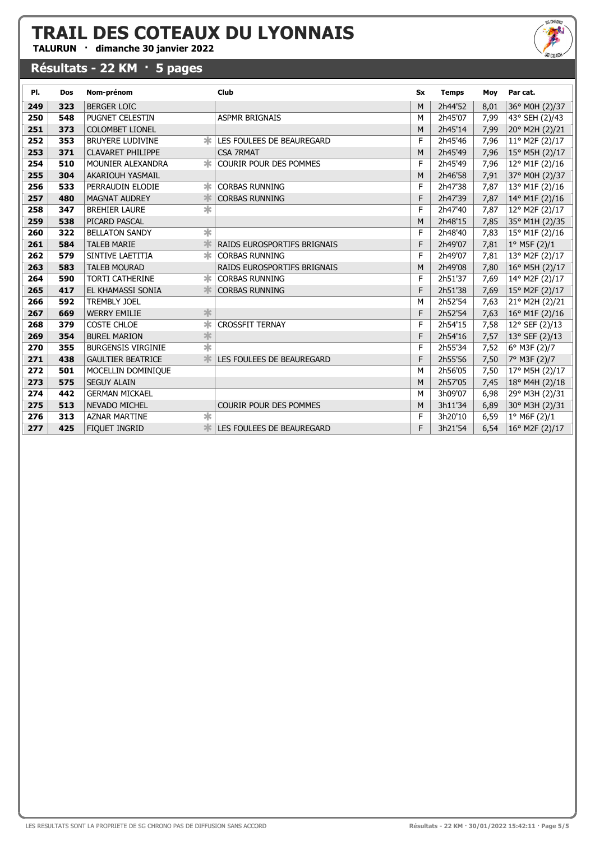TALURUN · dimanche 30 janvier 2022

#### Résultats - 22 KM · 5 pages

LES RESULTATS SONT LA PROPRIETE DE SG CHRONO PAS DE DIFFUSION SANS ACCORD

| Résultats - 22 KM · 30/01/2022 15:42:11 · Page 5/5 |  |  |
|----------------------------------------------------|--|--|

| PI. | <b>Dos</b> | Nom-prénom                                     | <b>Club</b>                        | <b>Sx</b> | <b>Temps</b> | Moy  | Par cat.              |
|-----|------------|------------------------------------------------|------------------------------------|-----------|--------------|------|-----------------------|
| 249 | 323        | <b>BERGER LOIC</b>                             |                                    | M         | 2h44'52      | 8,01 | 36° M0H (2)/37        |
| 250 | 548        | PUGNET CELESTIN                                | <b>ASPMR BRIGNAIS</b>              | М         | 2h45'07      | 7,99 | 43° SEH (2)/43        |
| 251 | 373        | <b>COLOMBET LIONEL</b>                         |                                    | M         | 2h45'14      | 7,99 | 20° M2H (2)/21        |
| 252 | 353        | <b>BRUYERE LUDIVINE</b><br>$\ast$              | LES FOULEES DE BEAUREGARD          | F         | 2h45'46      | 7,96 | 11° M2F (2)/17        |
| 253 | 371        | <b>CLAVARET PHILIPPE</b>                       | <b>CSA 7RMAT</b>                   | M         | 2h45'49      | 7,96 | 15° M5H (2)/17        |
| 254 | 510        | $\ast$<br>MOUNIER ALEXANDRA                    | <b>COURIR POUR DES POMMES</b>      | F         | 2h45'49      | 7,96 | 12° M1F (2)/16        |
| 255 | 304        | <b>AKARIOUH YASMAIL</b>                        |                                    | M         | 2h46'58      | 7,91 | 37° M0H (2)/37        |
| 256 | 533        | ж<br>PERRAUDIN ELODIE                          | <b>CORBAS RUNNING</b>              | F         | 2h47'38      | 7,87 | 13° M1F (2)/16        |
| 257 | 480        | <b>MAGNAT AUDREY</b>                           | <b>CORBAS RUNNING</b>              | F         | 2h47'39      | 7,87 | 14° M1F (2)/16        |
| 258 | 347        | $\overline{\ast}$<br><b>BREHIER LAURE</b>      |                                    | F         | 2h47'40      | 7,87 | 12° M2F (2)/17        |
| 259 | 538        | PICARD PASCAL                                  |                                    | M         | 2h48'15      | 7,85 | 35° M1H (2)/35        |
| 260 | 322        | 宋<br><b>BELLATON SANDY</b>                     |                                    | F         | 2h48'40      | 7,83 | 15° M1F (2)/16        |
| 261 | 584        | <b>TALEB MARIE</b>                             | <b>RAIDS EUROSPORTIFS BRIGNAIS</b> | F         | 2h49'07      | 7,81 | 1° M5F (2)/1          |
| 262 | 579        | $\ast$<br>SINTIVE LAETITIA                     | <b>CORBAS RUNNING</b>              | F         | 2h49'07      | 7,81 | 13° M2F (2)/17        |
| 263 | 583        | <b>TALEB MOURAD</b>                            | RAIDS EUROSPORTIFS BRIGNAIS        | M         | 2h49'08      | 7,80 | 16° M5H (2)/17        |
| 264 | 590        | $\ast$<br><b>TORTI CATHERINE</b>               | <b>CORBAS RUNNING</b>              | F         | 2h51'37      | 7,69 | 14° M2F (2)/17        |
| 265 | 417        | EL KHAMASSI SONIA                              | <b>CORBAS RUNNING</b>              | F         | 2h51'38      | 7,69 | 15° M2F (2)/17        |
| 266 | 592        | <b>TREMBLY JOEL</b>                            |                                    | M         | 2h52'54      | 7,63 | 21° M2H (2)/21        |
| 267 | 669        | *<br><b>WERRY EMILIE</b>                       |                                    | F         | 2h52'54      | 7,63 | 16° M1F (2)/16        |
| 268 | 379        | $\overline{\ast}$<br><b>COSTE CHLOE</b>        | <b>CROSSFIT TERNAY</b>             | F         | 2h54'15      | 7,58 | 12° SEF (2)/13        |
| 269 | 354        | $\frac{1}{\sqrt{2}}$<br><b>BUREL MARION</b>    |                                    | F         | 2h54'16      | 7,57 | 13° SEF (2)/13        |
| 270 | 355        | $\overline{\ast}$<br><b>BURGENSIS VIRGINIE</b> |                                    | F         | 2h55'34      | 7,52 | $6^{\circ}$ M3F (2)/7 |
| 271 | 438        | <b>GAULTIER BEATRICE</b>                       | LES FOULEES DE BEAUREGARD          | F         | 2h55'56      | 7,50 | 7° M3F (2)/7          |
| 272 | 501        | MOCELLIN DOMINIQUE                             |                                    | M         | 2h56'05      | 7,50 | 17° M5H (2)/17        |
| 273 | 575        | <b>SEGUY ALAIN</b>                             |                                    | M         | 2h57'05      | 7,45 | 18° M4H (2)/18        |
| 274 | 442        | <b>GERMAN MICKAEL</b>                          |                                    | М         | 3h09'07      | 6,98 | 29° M3H (2)/31        |
| 275 | 513        | <b>NEVADO MICHEL</b>                           | <b>COURIR POUR DES POMMES</b>      | M         | 3h11'34      | 6,89 | 30° M3H (2)/31        |
| 276 | 313        | $\overline{\ast}$<br><b>AZNAR MARTINE</b>      |                                    | F         | 3h20'10      | 6,59 | $1^{\circ}$ M6F (2)/1 |
| 277 | 425        | <b>FIQUET INGRID</b>                           | LES FOULEES DE BEAUREGARD          | F         | 3h21'54      | 6,54 | 16° M2F (2)/17        |
|     |            |                                                |                                    |           |              |      |                       |

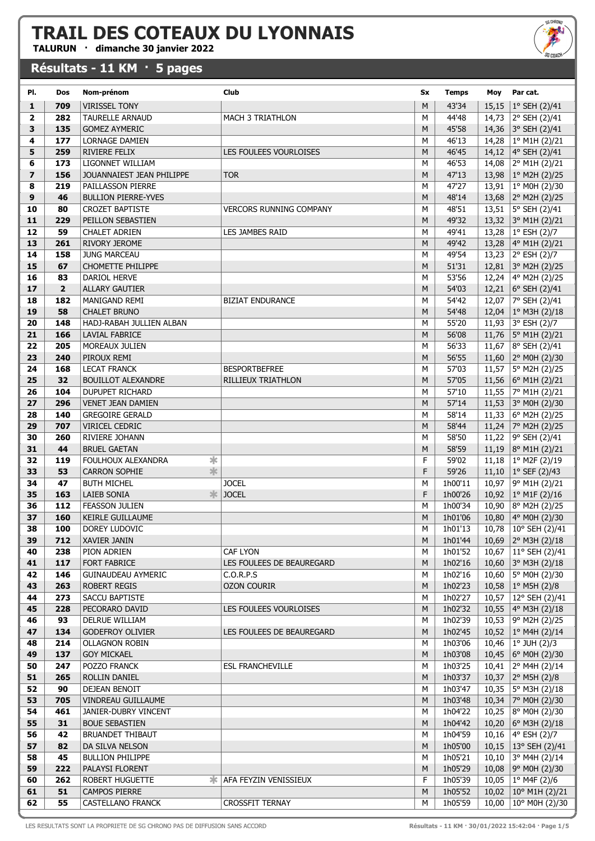TALURUN · dimanche 30 janvier 2022

#### Résultats - 11 KM · 5 pages



| PI.                     | Dos            | Nom-prénom                            | Club                           | Sx        | <b>Temps</b> | Moy   | Par cat.                          |
|-------------------------|----------------|---------------------------------------|--------------------------------|-----------|--------------|-------|-----------------------------------|
|                         |                |                                       |                                |           |              |       |                                   |
| $\mathbf{1}$            | 709            | <b>VIRISSEL TONY</b>                  |                                | M         | 43'34        |       | 15,15   $1^{\circ}$ SEH (2)/41    |
| $\overline{\mathbf{2}}$ | 282            | <b>TAURELLE ARNAUD</b>                | <b>MACH 3 TRIATHLON</b>        | M         | 44'48        |       | 14,73 2° SEH (2)/41               |
| 3                       | 135            | <b>GOMEZ AYMERIC</b>                  |                                | M         | 45'58        |       | 14,36 3° SEH (2)/41               |
| 4                       | 177            | LORNAGE DAMIEN                        |                                | М         | 46'13        |       | 14,28 $ 1^{\circ}$ M1H (2)/21     |
| 5                       | 259            | <b>RIVIERE FELIX</b>                  | LES FOULEES VOURLOISES         | M         | 46'45        |       | 14,12   4° SEH (2)/41             |
| 6                       | 173            | LIGONNET WILLIAM                      |                                | М         | 46'53        |       | 14,08 2° M1H (2)/21               |
| $\overline{z}$          | 156            | JOUANNAIEST JEAN PHILIPPE             | <b>TOR</b>                     | M         | 47'13        |       | 13,98   $1^{\circ}$ M2H (2)/25    |
| 8                       | 219            | PAILLASSON PIERRE                     |                                | М         | 47'27        |       | 13,91   1° M0H (2)/30             |
| 9                       | 46             | <b>BULLION PIERRE-YVES</b>            |                                | M         | 48'14        |       | 13,68 2° M2H (2)/25               |
| 10                      | 80             | <b>CROZET BAPTISTE</b>                | <b>VERCORS RUNNING COMPANY</b> | M         | 48'51        |       | 13,51 5° SEH (2)/41               |
| 11                      | 229            | PEILLON SEBASTIEN                     |                                | M         | 49'32        |       | 13,32 3° M1H (2)/21               |
| 12                      | 59             | <b>CHALET ADRIEN</b>                  | LES JAMBES RAID                | M         | 49'41        |       | 13,28   $1^{\circ}$ ESH (2)/7     |
| 13                      | 261            | RIVORY JEROME                         |                                | M         | 49'42        |       | 13,28 4° M1H (2)/21               |
| 14                      | 158            | <b>JUNG MARCEAU</b>                   |                                | М         | 49'54        |       | 13,23 2° ESH (2)/7                |
| 15                      | 67             | <b>CHOMETTE PHILIPPE</b>              |                                | M         | 51'31        |       | 12,81 3° M2H (2)/25               |
| 16                      | 83             | DARIOL HERVE                          |                                | М         | 53'56        |       | 12,24   4° M2H (2)/25             |
| 17                      | $\overline{2}$ | <b>ALLARY GAUTIER</b>                 |                                | M         | 54'03        |       | 12,21 6° SEH (2)/41               |
| 18                      | 182            | MANIGAND REMI                         | <b>BIZIAT ENDURANCE</b>        | М         | 54'42        |       | 12,07 7° SEH (2)/41               |
| 19                      | 58             | <b>CHALET BRUNO</b>                   |                                | M         | 54'48        |       | 12,04   1° M3H (2)/18             |
| 20                      | 148            | HADJ-RABAH JULLIEN ALBAN              |                                | М         | 55'20        |       | 11,93 3° ESH (2)/7                |
| 21                      | 166            | LAVIAL FABRICE                        |                                | ${\sf M}$ | 56'08        |       | 11,76   5° M1H (2)/21             |
| 22                      | 205            | MOREAUX JULIEN                        |                                | M         | 56'33        |       | 11,67 8° SEH (2)/41               |
| 23                      | 240            | PIROUX REMI                           |                                | M         | 56'55        |       | 11,60 2° M0H (2)/30               |
| 24                      | 168            | <b>LECAT FRANCK</b>                   | <b>BESPORTBEFREE</b>           | M         | 57'03        |       | 11,57   5° M2H (2)/25             |
| 25                      | 32             | <b>BOUILLOT ALEXANDRE</b>             | RILLIEUX TRIATHLON             | M         | 57'05        |       | 11,56   6 $^{\circ}$ M1H (2)/21   |
| 26                      | 104            | <b>DUPUPET RICHARD</b>                |                                | М         | 57'10        |       | 11,55   $7^{\circ}$ M1H (2)/21    |
| 27                      | 296            | <b>VENET JEAN DAMIEN</b>              |                                | M         | 57'14        |       | 11,53 3° M0H (2)/30               |
| 28                      | 140            | <b>GREGOIRE GERALD</b>                |                                | М         | 58'14        |       | 11,33 6° M2H (2)/25               |
| 29                      | 707            | VIRICEL CEDRIC                        |                                | M         | 58'44        |       | 11,24   7° M2H (2)/25             |
| 30                      | 260            | RIVIERE JOHANN                        |                                | М         | 58'50        |       | 11,22   9° SEH (2)/41             |
| 31                      | 44             | <b>BRUEL GAETAN</b>                   |                                | M         | 58'59        |       | 11,19 8° M1H (2)/21               |
| 32                      | 119            | $\ast$<br>FOULHOUX ALEXANDRA          |                                | F         | 59'02        |       | 11,18   1° M2F (2)/19             |
| 33                      | 53             | $\ddot{\ast}$<br><b>CARRON SOPHIE</b> |                                | F         | 59'26        |       | 11,10   $1^{\circ}$ SEF (2)/43    |
| 34                      | 47             | <b>BUTH MICHEL</b>                    | <b>JOCEL</b>                   | M         | 1h00'11      |       | 10,97   9° M1H (2)/21             |
| 35                      | 163            | 氺<br>LAIEB SONIA                      | <b>JOCEL</b>                   | F         | 1h00'26      |       | 10,92   $1^{\circ}$ M1F (2)/16    |
| 36                      | 112            | <b>FEASSON JULIEN</b>                 |                                | M         | 1h00'34      | 10,90 | $ 8^{\circ}$ M2H (2)/25           |
| 37                      | 160            | KEIRLE GUILLAUME                      |                                | M         | 1h01'06      |       | 10,80 4° M0H (2)/30               |
| 38                      | 100            | DOREY LUDOVIC                         |                                | М         | 1h01'13      | 10,78 | 10° SEH (2)/41                    |
| 39                      | 712            | XAVIER JANIN                          |                                | M         | 1h01'44      |       | 10,69 2° M3H (2)/18               |
| 40                      | 238            | PION ADRIEN                           | <b>CAF LYON</b>                | м         | 1h01'52      |       | 10,67   11° SEH (2)/41            |
| 41                      | 117            | <b>FORT FABRICE</b>                   | LES FOULEES DE BEAUREGARD      | M         | 1h02'16      |       | 10,60 3° M3H (2)/18               |
| 42                      | 146            | <b>GUINAUDEAU AYMERIC</b>             | C.O.R.P.S                      | М         | 1h02'16      |       | 10,60   5° M0H (2)/30             |
| 43                      | 263            | <b>ROBERT REGIS</b>                   | <b>OZON COURIR</b>             | M         | 1h02'23      |       | 10,58   1° M5H (2)/8              |
| 44                      | 273            | SACCU BAPTISTE                        |                                | М         | 1h02'27      |       | 10,57   12° SEH (2)/41            |
| 45                      | 228            | PECORARO DAVID                        | LES FOULEES VOURLOISES         | M         | 1h02'32      |       | 10,55 4° M3H (2)/18               |
| 46                      | 93             | DELRUE WILLIAM                        |                                | М         | 1h02'39      |       | 10,53 9° M2H (2)/25               |
| 47                      | 134            | <b>GODEFROY OLIVIER</b>               | LES FOULEES DE BEAUREGARD      | M         | 1h02'45      |       | 10,52   1° M4H (2)/14             |
| 48                      | 214            | <b>OLLAGNON ROBIN</b>                 |                                | м         | 1h03'06      |       | 10,46   $1^{\circ}$ JUH (2)/3     |
| 49                      | 137            | <b>GOY MICKAEL</b>                    |                                | M         | 1h03'08      |       | 10,45   6 $^{\circ}$ M0H (2)/30   |
| 50                      | 247            | POZZO FRANCK                          | <b>ESL FRANCHEVILLE</b>        | м         | 1h03'25      |       | 10,41 2° M4H (2)/14               |
| 51                      | 265            | ROLLIN DANIEL                         |                                | M         | 1h03'37      |       | 10,37 2° M5H (2)/8                |
| 52                      | 90             | DEJEAN BENOIT                         |                                | м         | 1h03'47      |       | 10,35   5° M3H (2)/18             |
| 53                      | 705            | VINDREAU GUILLAUME                    |                                | M         | 1h03'48      |       | 10,34   $7^{\circ}$ M0H (2)/30    |
| 54                      | 461            | JANIER-DUBRY VINCENT                  |                                | м         | 1h04'22      |       | 10,25   8° M0H (2)/30             |
| 55                      | 31             | <b>BOUE SEBASTIEN</b>                 |                                | M         | 1h04'42      |       | 10,20 6° M3H (2)/18               |
| 56                      | 42             | BRUANDET THIBAUT                      |                                | М         | 1h04'59      |       | 10,16   4 $\degree$ ESH (2)/7     |
| 57                      | 82             | DA SILVA NELSON                       |                                | M         | 1h05'00      |       | 10,15 13° SEH (2)/41              |
| 58                      | 45             | <b>BULLION PHILIPPE</b>               |                                | м         | 1h05'21      |       | 10,10 3° M4H (2)/14               |
| 59                      | 222            | PALAYSI FLORENT                       |                                | M         | 1h05'29      |       | 10,08   9 $^{\circ}$ M0H (2)/30   |
| 60                      | 262            | ROBERT HUGUETTE                       | <b>* AFA FEYZIN VENISSIEUX</b> | F         | 1h05'39      |       | 10,05   $1^{\circ}$ M4F (2)/6     |
| 61                      | 51             | <b>CAMPOS PIERRE</b>                  |                                | M         | 1h05'52      |       | 10,02 10° M1H (2)/21              |
| 62                      | 55             | CASTELLANO FRANCK                     | CROSSFIT TERNAY                | м         | 1h05'59      |       | $10,00$   $10^{\circ}$ M0H (2)/30 |

LES RESULTATS SONT LA PROPRIETE DE SG CHRONO PAS DE DIFFUSION SANS ACCORD **Résultats - 11 KM · 30/01/2022 15:42:04 · Page 1/5**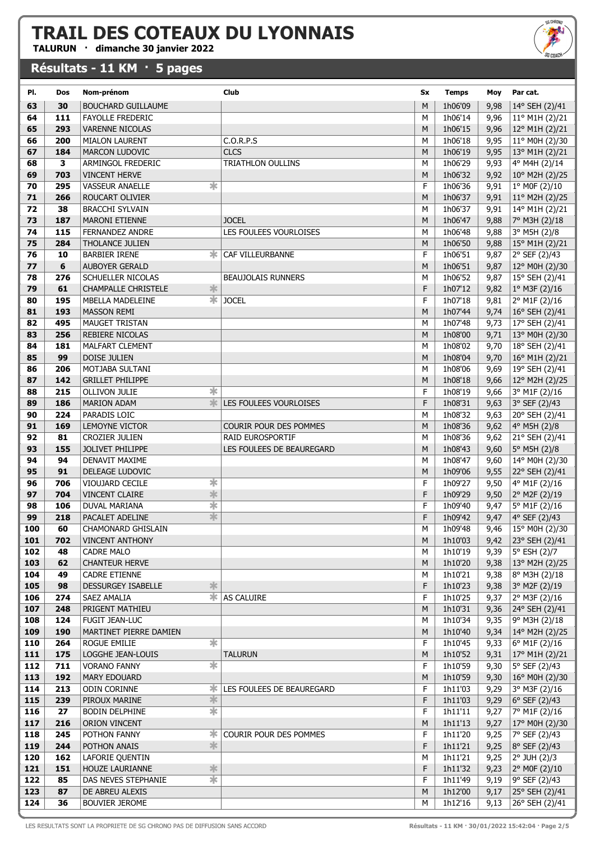TALURUN · dimanche 30 janvier 2022

#### Résultats - 11 KM · 5 pages



| PI. | Dos | Nom-prénom                                 | Club                      | Sx     | <b>Temps</b>       | Moy          | Par cat.                         |
|-----|-----|--------------------------------------------|---------------------------|--------|--------------------|--------------|----------------------------------|
| 63  | 30  | <b>BOUCHARD GUILLAUME</b>                  |                           | M      | 1h06'09            | 9,98         | 14° SEH (2)/41                   |
| 64  | 111 | <b>FAYOLLE FREDERIC</b>                    |                           | м      | 1h06'14            | 9,96         | 11° M1H (2)/21                   |
| 65  | 293 | <b>VARENNE NICOLAS</b>                     |                           | M      | 1h06'15            | 9,96         | 12° M1H (2)/21                   |
| 66  | 200 | <b>MIALON LAURENT</b>                      | C.O.R.P.S                 | M      | 1h06'18            | 9,95         | 11° M0H (2)/30                   |
| 67  | 184 | <b>MARCON LUDOVIC</b>                      | <b>CLCS</b>               | M      | 1h06'19            | 9,95         | $13^{\circ}$ M1H (2)/21          |
| 68  | 3   | ARMINGOL FREDERIC                          | TRIATHLON OULLINS         | M      | 1h06'29            | 9,93         | 4° M4H (2)/14                    |
| 69  | 703 | <b>VINCENT HERVE</b>                       |                           | M      | 1h06'32            | 9,92         | 10° M2H (2)/25                   |
| 70  | 295 | $\ast$<br><b>VASSEUR ANAELLE</b>           |                           | F      | 1h06'36            | 9,91         | 1° MOF (2)/10                    |
| 71  | 266 | ROUCART OLIVIER                            |                           | M      | 1h06'37            | 9,91         | 11° M2H (2)/25                   |
| 72  | 38  | <b>BRACCHI SYLVAIN</b>                     |                           | М      | 1h06'37            | 9,91         | 14° M1H (2)/21                   |
| 73  | 187 | <b>MARONI ETIENNE</b>                      | <b>JOCEL</b>              | M      | 1h06'47            | 9,88         | 7° M3H (2)/18                    |
| 74  | 115 | <b>FERNANDEZ ANDRE</b>                     | LES FOULEES VOURLOISES    | М      | 1h06'48            | 9,88         | 3° M5H (2)/8                     |
| 75  | 284 | <b>THOLANCE JULIEN</b>                     |                           | M      | 1h06'50            | 9,88         | 15° M1H (2)/21                   |
| 76  | 10  | ж<br><b>BARBIER IRENE</b>                  | CAF VILLEURBANNE          | F      | 1h06'51            | 9,87         | 2° SEF (2)/43                    |
| 77  | 6   | AUBOYER GERALD                             |                           | M      | 1h06'51            | 9,87         | 12° M0H (2)/30                   |
| 78  | 276 | SCHUELLER NICOLAS                          | <b>BEAUJOLAIS RUNNERS</b> | M      | 1h06'52            | 9,87         | 15° SEH (2)/41                   |
| 79  | 61  | *<br><b>CHAMPALLE CHRISTELE</b>            |                           | F      | 1h07'12            | 9,82         | $1°$ M3F (2)/16                  |
| 80  | 195 | $\overline{\ast}$<br>MBELLA MADELEINE      |                           | F      | 1h07'18            |              |                                  |
| 81  | 193 | <b>MASSON REMI</b>                         | <b>JOCEL</b>              | M      | 1h07'44            | 9,81<br>9,74 | 2° M1F (2)/16<br>16° SEH (2)/41  |
| 82  | 495 | MAUGET TRISTAN                             |                           | М      | 1h07'48            | 9,73         | 17° SEH (2)/41                   |
| 83  | 256 | <b>REBIERE NICOLAS</b>                     |                           | M      | 1h08'00            | 9,71         |                                  |
| 84  | 181 | <b>MALFART CLEMENT</b>                     |                           |        | 1h08'02            | 9,70         | 13° M0H (2)/30<br>18° SEH (2)/41 |
| 85  | 99  | <b>DOISE JULIEN</b>                        |                           | М<br>M | 1h08'04            | 9,70         | 16° M1H (2)/21                   |
| 86  | 206 |                                            |                           | M      | 1h08'06            |              |                                  |
| 87  | 142 | MOTJABA SULTANI<br><b>GRILLET PHILIPPE</b> |                           | M      | 1h08'18            | 9,69<br>9,66 | 19° SEH (2)/41                   |
| 88  | 215 | ∗<br><b>OLLIVON JULIE</b>                  |                           | F      | 1h08'19            | 9,66         | 12° M2H (2)/25<br>3° M1F (2)/16  |
| 89  | 186 | *<br><b>MARION ADAM</b>                    | LES FOULEES VOURLOISES    | F      | 1h08'31            | 9,63         | 3° SEF (2)/43                    |
| 90  | 224 | PARADIS LOIC                               |                           | M      | 1h08'32            |              |                                  |
| 91  | 169 |                                            | COURIR POUR DES POMMES    | M      | 1h08'36            | 9,63         | 20° SEH (2)/41                   |
| 92  | 81  | LEMOYNE VICTOR<br>CROZIER JULIEN           | RAID EUROSPORTIF          | М      | 1h08'36            | 9,62<br>9,62 | 4° M5H (2)/8<br>21° SEH (2)/41   |
| 93  | 155 |                                            |                           | M      |                    |              |                                  |
| 94  | 94  | JOLIVET PHILIPPE<br>DENAVIT MAXIME         | LES FOULEES DE BEAUREGARD | M      | 1h08'43<br>1h08'47 | 9,60         | 5° M5H (2)/8                     |
| 95  | 91  | DELEAGE LUDOVIC                            |                           | M      | 1h09'06            | 9,60<br>9,55 | 14° M0H (2)/30<br>22° SEH (2)/41 |
| 96  | 706 | ☀<br>VIOUJARD CECILE                       |                           | F      | 1h09'27            |              |                                  |
| 97  | 704 | $\frac{1}{2}$<br><b>VINCENT CLAIRE</b>     |                           | F      | 1h09'29            | 9,50<br>9,50 | 4° M1F (2)/16                    |
| 98  | 106 | $\overline{\ast}$<br><b>DUVAL MARIANA</b>  |                           | F      | 1h09'40            | 9,47         | 2° M2F (2)/19<br>5° M1F (2)/16   |
| 99  | 218 | $\ast$<br>PACALET ADELINE                  |                           | F      | 1h09'42            | 9,47         | 4° SEF (2)/43                    |
| 100 | 60  | <b>CHAMONARD GHISLAIN</b>                  |                           | M      | 1h09'48            | 9,46         | 15° M0H (2)/30                   |
| 101 | 702 | <b>VINCENT ANTHONY</b>                     |                           | M      | 1h10'03            | 9,42         | 23° SEH (2)/41                   |
| 102 | 48  | <b>CADRE MALO</b>                          |                           | М      | 1h10'19            | 9,39         | 5° ESH (2)/7                     |
| 103 | 62  | <b>CHANTEUR HERVE</b>                      |                           | M      | 1h10'20            | 9,38         | $13^{\circ}$ M2H (2)/25          |
| 104 | 49  | CADRE ETIENNE                              |                           | М      | 1h10'21            | 9,38         | 8° M3H (2)/18                    |
| 105 | 98  | ∗<br>DESSURGEY ISABELLE                    |                           | F      | 1h10'23            | 9,38         | 3° M2F (2)/19                    |
| 106 | 274 | ∗.<br>SAEZ AMALIA                          | AS CALUIRE                | F      | 1h10'25            | 9,37         | 2° M3F (2)/16                    |
| 107 | 248 | PRIGENT MATHIEU                            |                           | M      | 1h10'31            | 9,36         | 24° SEH (2)/41                   |
| 108 | 124 | FUGIT JEAN-LUC                             |                           | М      | 1h10'34            | 9,35         | 9° M3H (2)/18                    |
| 109 | 190 | MARTINET PIERRE DAMIEN                     |                           | M      | 1h10'40            | 9,34         | 14° M2H (2)/25                   |
| 110 | 264 | ∗<br>ROGUE EMILIE                          |                           | F      | 1h10'45            | 9,33         | 6° M1F (2)/16                    |
| 111 | 175 | LOGGHE JEAN-LOUIS                          | <b>TALURUN</b>            | M      | 1h10'52            | 9,31         | $17^{\circ}$ M1H (2)/21          |
| 112 | 711 | $\overline{\ast}$<br><b>VORANO FANNY</b>   |                           | F      | 1h10'59            | 9,30         | 5° SEF (2)/43                    |
| 113 | 192 | MARY EDOUARD                               |                           | M      | 1h10'59            | 9,30         | 16° M0H (2)/30                   |
| 114 | 213 | ∗.<br>ODIN CORINNE                         | LES FOULEES DE BEAUREGARD | F      | 1h11'03            | 9,29         | 3° M3F (2)/16                    |
| 115 | 239 | $\ast$<br>PIROUX MARINE                    |                           | F      | 1h11'03            | 9,29         | $6°$ SEF (2)/43                  |
| 116 | 27  | $\overline{\ast}$<br><b>BODIN DELPHINE</b> |                           | F      | 1h11'11            | 9,27         | 7° M1F (2)/16                    |
| 117 | 216 | <b>ORION VINCENT</b>                       |                           | M      | 1h11'13            | 9,27         | 17° M0H (2)/30                   |
| 118 | 245 | POTHON FANNY<br>Ж.                         | COURIR POUR DES POMMES    | F      | 1h11'20            | 9,25         | 7° SEF (2)/43                    |
| 119 | 244 | $\frac{1}{2}$<br>POTHON ANAIS              |                           | F      | 1h11'21            | 9,25         | $8°$ SEF (2)/43                  |
| 120 | 162 | LAFORIE QUENTIN                            |                           | М      | 1h11'21            | 9,25         | 2° JUH (2)/3                     |
| 121 | 151 | $\ast$<br>HOUZE LAURIANNE                  |                           | F      | 1h11'32            | 9,23         | $ 2^{\circ}$ MOF (2)/10          |
| 122 | 85  | $\overline{\ast}$<br>DAS NEVES STEPHANIE   |                           | F      | 1h11'49            | 9,19         | 9° SEF (2)/43                    |
| 123 | 87  | DE ABREU ALEXIS                            |                           | M      | 1h12'00            | 9,17         | 25° SEH (2)/41                   |
| 124 | 36  | <b>BOUVIER JEROME</b>                      |                           | М      | 1h12'16            | 9,13         | 26° SEH (2)/41                   |

LES RESULTATS SONT LA PROPRIETE DE SG CHRONO PAS DE DIFFUSION SANS ACCORD<br>
Résultats - 11 KM · 30/01/2022 15:42:04 · Page 2/5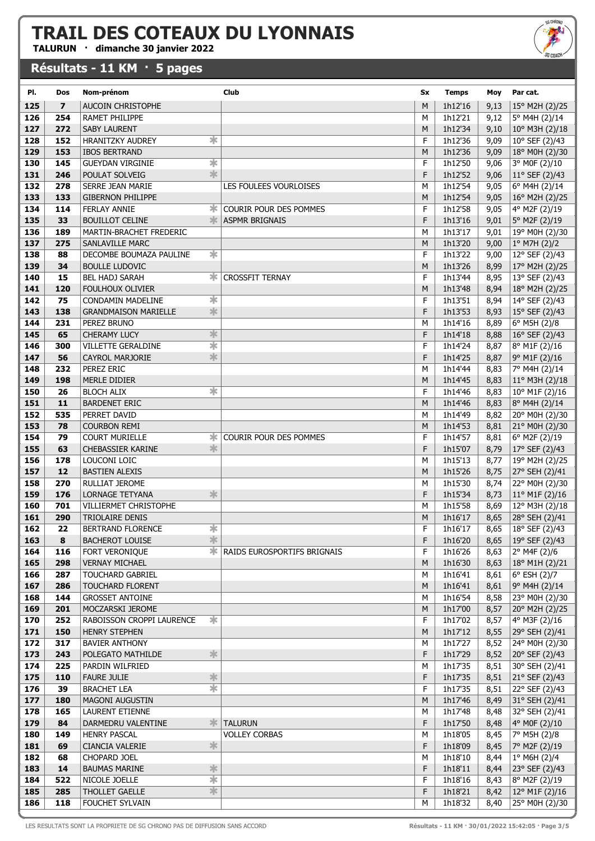TALURUN · dimanche 30 janvier 2022

#### Résultats - 11 KM · 5 pages

| PI.        | Dos                     | Nom-prénom                                             | Club                                 | Sx     | <b>Temps</b>       | Moy          | Par cat.                                |
|------------|-------------------------|--------------------------------------------------------|--------------------------------------|--------|--------------------|--------------|-----------------------------------------|
|            | $\overline{\mathbf{z}}$ |                                                        |                                      | M      |                    |              |                                         |
| 125        |                         | <b>AUCOIN CHRISTOPHE</b>                               |                                      |        | 1h12'16            | 9,13         | 15° M2H (2)/25                          |
| 126        | 254                     | RAMET PHILIPPE                                         |                                      | M      | 1h12'21            | 9,12         | 5° M4H (2)/14                           |
| 127        | 272                     | <b>SABY LAURENT</b>                                    |                                      | M      | 1h12'34            | 9,10         | $10^{\circ}$ M3H (2)/18                 |
| 128        | 152                     | $\overline{\ast}$<br><b>HRANITZKY AUDREY</b>           |                                      | F      | 1h12'36            | 9,09         | 10° SEF (2)/43                          |
| 129        | 153                     | <b>IBOS BERTRAND</b>                                   |                                      | M      | 1h12'36            | 9,09         | 18° M0H (2)/30                          |
| 130        | 145                     | $\overline{\ast}$<br><b>GUEYDAN VIRGINIE</b>           |                                      | F      | 1h12'50            | 9,06         | 3° MOF (2)/10                           |
| 131        | 246                     | *<br>POULAT SOLVEIG                                    |                                      | F      | 1h12'52            | 9,06         | $11^{\circ}$ SEF (2)/43                 |
| 132        | 278                     | SERRE JEAN MARIE                                       | LES FOULEES VOURLOISES               | М      | 1h12'54            | 9,05         | 6° M4H (2)/14                           |
| 133        | 133                     | <b>GIBERNON PHILIPPE</b>                               |                                      | M      | 1h12'54            | 9,05         | 16° M2H (2)/25                          |
| 134        | 114                     | <b>FERLAY ANNIE</b><br>ж                               | COURIR POUR DES POMMES               | F      | 1h12'58            | 9,05         | 4° M2F (2)/19                           |
| 135        | 33                      | 氺<br><b>BOUILLOT CELINE</b>                            | <b>ASPMR BRIGNAIS</b>                | F      | 1h13'16            | 9,01         | 5° M2F (2)/19                           |
| 136        | 189                     | MARTIN-BRACHET FREDERIC                                |                                      | М      | 1h13'17            | 9,01         | 19° M0H (2)/30                          |
| 137        | 275                     | <b>SANLAVILLE MARC</b>                                 |                                      | M      | 1h13'20            | 9,00         | $1°$ M7H (2)/2                          |
| 138        | 88                      | $\ast$<br>DECOMBE BOUMAZA PAULINE                      |                                      | F      | 1h13'22            | 9,00         | 12° SEF (2)/43                          |
| 139        | 34                      | <b>BOULLE LUDOVIC</b>                                  |                                      | M      | 1h13'26            | 8,99         | 17° M2H (2)/25                          |
| 140        | 15                      | ж.<br>BEL HADJ SARAH                                   | <b>CROSSFIT TERNAY</b>               | F      | 1h13'44            | 8,95         | 13° SEF (2)/43                          |
| 141        | 120                     | <b>FOULHOUX OLIVIER</b>                                |                                      | M      | 1h13'48            | 8,94         | 18° M2H (2)/25                          |
| 142        | 75                      | $\ast$<br>CONDAMIN MADELINE                            |                                      | F      | 1h13'51            | 8,94         | 14° SEF (2)/43                          |
| 143        | 138                     | $\frac{1}{2}$<br><b>GRANDMAISON MARIELLE</b>           |                                      | F      | 1h13'53            | 8,93         | $15^{\circ}$ SEF (2)/43                 |
| 144        | 231                     | PEREZ BRUNO                                            |                                      | М      | 1h14'16            | 8,89         | 6° M5H (2)/8                            |
| 145        | 65                      | $\frac{1}{2}$<br><b>CHERAMY LUCY</b>                   |                                      | F      | 1h14'18            | 8,88         | 16° SEF (2)/43                          |
| 146        | 300                     | $\overline{\ast}$<br><b>VILLETTE GERALDINE</b>         |                                      | F      | 1h14'24            | 8,87         | 8° M1F (2)/16                           |
| 147        | 56                      | $\ast$<br><b>CAYROL MARJORIE</b>                       |                                      | F      | 1h14'25            | 8,87         | 9° M1F (2)/16                           |
| 148        | 232                     | PEREZ ERIC                                             |                                      | М      | 1h14'44            | 8,83         | 7° M4H (2)/14                           |
| 149        | 198                     | MERLE DIDIER                                           |                                      | M      | 1h14'45            | 8,83         | 11° M3H (2)/18                          |
| 150        | 26                      | $\overline{\ast}$<br><b>BLOCH ALIX</b>                 |                                      | F      | 1h14'46            | 8,83         | 10° M1F (2)/16                          |
| 151        | 11                      | <b>BARDENET ERIC</b>                                   |                                      | M      | 1h14'46            | 8,83         | 8° M4H (2)/14                           |
| 152        | 535                     | PERRET DAVID                                           |                                      | М      | 1h14'49            | 8,82         | 20° M0H (2)/30                          |
| 153        | 78                      | <b>COURBON REMI</b>                                    |                                      | M      | 1h14'53            | 8,81         | 21° MOH (2)/30                          |
| 154        | 79                      | <b>COURT MURIELLE</b><br>ж                             | COURIR POUR DES POMMES               | F      | 1h14'57            | 8,81         | 6° M2F (2)/19                           |
| 155        | 63                      | $\ast$<br><b>CHEBASSIER KARINE</b>                     |                                      | F      | 1h15'07            | 8,79         | 17° SEF (2)/43                          |
| 156        | 178                     | LOUCONI LOIC                                           |                                      | M      | 1h15'13            | 8,77         | 19° M2H (2)/25                          |
| 157        | 12                      | <b>BASTIEN ALEXIS</b>                                  |                                      | M      | 1h15'26            | 8,75         | 27° SEH (2)/41                          |
| 158        | 270                     | RULLIAT JEROME<br>$\overline{\ast}$                    |                                      | М      | 1h15'30            | 8,74         | 22° M0H (2)/30                          |
| 159        | 176                     | <b>LORNAGE TETYANA</b>                                 |                                      | F      | 1h15'34            | 8,73         | $11^{\circ}$ M1F (2)/16                 |
| 160<br>161 | 701<br>290              | <b>VILLIERMET CHRISTOPHE</b><br><b>TRIOLAIRE DENIS</b> |                                      | M      | 1h15'58            | 8,69         | 12° M3H (2)/18<br>28° SEH (2)/41        |
|            |                         | $\overline{\ast}$                                      |                                      | M<br>F | 1h16'17            | 8,65         |                                         |
| 162<br>163 | 22<br>8                 | BERTRAND FLORENCE<br>$\frac{1}{\sqrt{2}}$              |                                      | F      | 1h16'17<br>1h16'20 | 8,65         | 18° SEF (2)/43<br>8,65   19° SEF (2)/43 |
|            |                         | <b>BACHEROT LOUISE</b>                                 | <b>* RAIDS EUROSPORTIFS BRIGNAIS</b> | F      |                    |              |                                         |
| 164<br>165 | 116<br>298              | FORT VERONIQUE<br><b>VERNAY MICHAEL</b>                |                                      | M      | 1h16'26<br>1h16'30 | 8,63         | $ 2^{\circ}$ M4F (2)/6                  |
|            |                         |                                                        |                                      |        |                    |              | 8,63   18° M1H (2)/21                   |
| 166<br>167 | 287<br>286              | <b>TOUCHARD GABRIEL</b><br><b>TOUCHARD FLORENT</b>     |                                      | М<br>M | 1h16'41<br>1h16'41 | 8,61         | 6° ESH (2)/7                            |
|            | 144                     |                                                        |                                      |        |                    | 8,61         | $ 9^{\circ}$ M4H (2)/14                 |
| 168<br>169 | 201                     | <b>GROSSET ANTOINE</b><br>MOCZARSKI JEROME             |                                      | М<br>M | 1h16'54<br>1h17'00 | 8,58<br>8,57 | 23° M0H (2)/30<br>20° M2H (2)/25        |
| 170        | 252                     | 氺<br>RABOISSON CROPPI LAURENCE                         |                                      | F      | 1h17'02            | 8,57         | $4°$ M3F (2)/16                         |
| 171        | 150                     | <b>HENRY STEPHEN</b>                                   |                                      | M      | 1h17'12            | 8,55         | 29° SEH (2)/41                          |
| 172        | 317                     | <b>BAVIER ANTHONY</b>                                  |                                      | М      | 1h17'27            | 8,52         | 24° M0H (2)/30                          |
| 173        | 243                     | ∗<br>POLEGATO MATHILDE                                 |                                      | F      | 1h17'29            | 8,52         | $20^{\circ}$ SEF (2)/43                 |
| 174        | 225                     | PARDIN WILFRIED                                        |                                      |        | 1h17'35            | 8,51         | 30° SEH (2)/41                          |
| 175        | 110                     | <b>FAURE JULIE</b><br>∗                                |                                      | М<br>F | 1h17'35            | 8,51         | $21^{\circ}$ SEF (2)/43                 |
| 176        | 39                      | $\overline{\ast}$<br><b>BRACHET LEA</b>                |                                      | F      | 1h17'35            | 8,51         | $ 22^{\circ}$ SEF $(2)/43$              |
| 177        | 180                     | <b>MAGONI AUGUSTIN</b>                                 |                                      | M      | 1h17'46            | 8,49         | 31° SEH (2)/41                          |
| 178        | 165                     | <b>LAURENT ETIENNE</b>                                 |                                      | М      | 1h17'48            | 8,48         | 32° SEH (2)/41                          |
| 179        | 84                      | DARMEDRU VALENTINE<br>≭                                | <b>TALURUN</b>                       | F      | 1h17'50            | 8,48         | $4°$ MOF (2)/10                         |
| 180        | 149                     | <b>HENRY PASCAL</b>                                    | <b>VOLLEY CORBAS</b>                 | М      | 1h18'05            | 8,45         | $ 7^{\circ}$ M5H (2)/8                  |
| 181        | 69                      | $\ast$<br>CIANCIA VALERIE                              |                                      | F      | 1h18'09            | 8,45         | 7° M2F (2)/19                           |
| 182        | 68                      | CHOPARD JOEL                                           |                                      | М      | 1h18'10            | 8,44         | $\vert$ 1° M6H (2)/4                    |
| 183        | 14                      | ∗<br><b>BAUMAS MARINE</b>                              |                                      | F      | 1h18'11            |              | 8,44 23° SEF $(2)/43$                   |
| 184        | 522                     | $\overline{\ast}$<br>NICOLE JOELLE                     |                                      | F      | 1h18'16            | 8,43         | 8° M2F (2)/19                           |
| 185        | 285                     | $\ast$<br>THOLLET GAELLE                               |                                      | F      | 1h18'21            |              | 8,42   $12^{\circ}$ M1F (2)/16          |
| 186        | 118                     | FOUCHET SYLVAIN                                        |                                      | M      | 1h18'32            |              | 8,40 25° M0H (2)/30                     |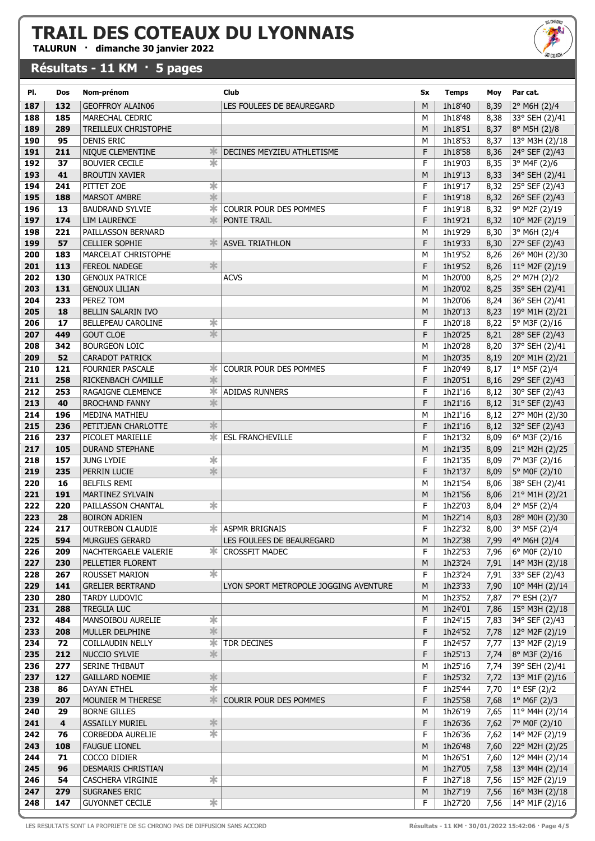TALURUN · dimanche 30 janvier 2022

#### Résultats - 11 KM · 5 pages

| SG CHROND<br><b>SG COACH</b> |
|------------------------------|
|                              |
|                              |

| PI.        | Dos                     | Nom-prénom                                 | Club                                  | Sx     | <b>Temps</b>       | Moy          | Par cat.                                  |
|------------|-------------------------|--------------------------------------------|---------------------------------------|--------|--------------------|--------------|-------------------------------------------|
| 187        | 132                     | GEOFFROY ALAIN06                           | LES FOULEES DE BEAUREGARD             | M      | 1h18'40            | 8,39         | 2° M6H (2)/4                              |
| 188        | 185                     | MARECHAL CEDRIC                            |                                       | M      | 1h18'48            | 8,38         | 33° SEH (2)/41                            |
| 189        | 289                     | TREILLEUX CHRISTOPHE                       |                                       | M      | 1h18'51            | 8,37         | 8° M5H (2)/8                              |
| 190        | 95                      | <b>DENIS ERIC</b>                          |                                       | M      | 1h18'53            | 8,37         | 13° M3H (2)/18                            |
| 191        | 211                     | NIQUE CLEMENTINE<br>氺                      | DECINES MEYZIEU ATHLETISME            | F      | 1h18'58            | 8,36         | 24° SEF (2)/43                            |
| 192        | 37                      | $\overline{\ast}$<br><b>BOUVIER CECILE</b> |                                       | F      | 1h19'03            | 8,35         | 3° M4F (2)/6                              |
| 193        | 41                      | <b>BROUTIN XAVIER</b>                      |                                       | M      | 1h19'13            | 8,33         | 34° SEH (2)/41                            |
| 194        | 241                     | $\ast$<br>PITTET ZOE                       |                                       | F      | 1h19'17            | 8,32         | 25° SEF (2)/43                            |
| 195        | 188                     | *<br><b>MARSOT AMBRE</b>                   |                                       | F      | 1h19'18            | 8,32         | $26°$ SEF (2)/43                          |
| 196        | 13                      | ∗<br><b>BAUDRAND SYLVIE</b>                | COURIR POUR DES POMMES                | F      | 1h19'18            | 8,32         | 9° M2F (2)/19                             |
| 197        | 174                     | 氺<br><b>LIM LAURENCE</b>                   | PONTE TRAIL                           | F      | 1h19'21            | 8,32         | $10^{\circ}$ M2F (2)/19                   |
| 198        | 221                     | PAILLASSON BERNARD                         |                                       | М      | 1h19'29            | 8,30         | 3° M6H (2)/4                              |
| 199        | 57                      | CELLIER SOPHIE                             | <b>ASVEL TRIATHLON</b>                | F      | 1h19'33            | 8,30         | 27° SEF (2)/43                            |
| 200        | 183<br>113              | MARCELAT CHRISTOPHE<br>氺                   |                                       | М<br>F | 1h19'52            | 8,26         | 26° M0H (2)/30                            |
| 201<br>202 | 130                     | FEREOL NADEGE<br><b>GENOUX PATRICE</b>     | <b>ACVS</b>                           | М      | 1h19'52<br>1h20'00 | 8,26<br>8,25 | $11^{\circ}$ M2F (2)/19<br>2° M7H (2)/2   |
| 203        | 131                     | <b>GENOUX LILIAN</b>                       |                                       | M      | 1h20'02            | 8,25         | 35° SEH (2)/41                            |
| 204        | 233                     | PEREZ TOM                                  |                                       | M      | 1h20'06            | 8,24         | 36° SEH (2)/41                            |
| 205        | 18                      | BELLIN SALARIN IVO                         |                                       | M      | 1h20'13            | 8,23         | $19^{\circ}$ M1H (2)/21                   |
| 206        | 17                      | $\ast$<br>BELLEPEAU CAROLINE               |                                       | F      | 1h20'18            | 8,22         | 5° M3F (2)/16                             |
| 207        | 449                     | $\overline{\ast}$<br><b>GOUT CLOE</b>      |                                       | F      | 1h20'25            | 8,21         | 28° SEF (2)/43                            |
| 208        | 342                     | <b>BOURGEON LOIC</b>                       |                                       | M      | 1h20'28            | 8,20         | 37° SEH (2)/41                            |
| 209        | 52                      | CARADOT PATRICK                            |                                       | M      | 1h20'35            | 8,19         | 20° M1H (2)/21                            |
| 210        | 121                     | <b>FOURNIER PASCALE</b><br>ж               | COURIR POUR DES POMMES                | F      | 1h20'49            | 8,17         | 1° M5F (2)/4                              |
| 211        | 258                     | 氺<br>RICKENBACH CAMILLE                    |                                       | F      | 1h20'51            | 8,16         | 29° SEF (2)/43                            |
| 212        | 253                     | ж<br>RAGAIGNE CLEMENCE                     | <b>ADIDAS RUNNERS</b>                 | F      | 1h21'16            | 8,12         | 30° SEF (2)/43                            |
| 213        | 40                      | $\frac{1}{2}$<br><b>BROCHAND FANNY</b>     |                                       | F      | 1h21'16            | 8,12         | 31° SEF (2)/43                            |
| 214        | 196                     | MEDINA MATHIEU                             |                                       | M      | 1h21'16            | 8,12         | 27° M0H (2)/30                            |
| 215        | 236                     | 氺<br>PETITJEAN CHARLOTTE                   |                                       | F      | 1h21'16            | 8,12         | 32° SEF (2)/43                            |
| 216        | 237                     | ∗.<br>PICOLET MARIELLE                     | <b>ESL FRANCHEVILLE</b>               | F      | 1h21'32            | 8,09         | 6° M3F (2)/16                             |
| 217        | 105                     | <b>DURAND STEPHANE</b>                     |                                       | M      | 1h21'35            | 8,09         | 21° M2H (2)/25                            |
| 218<br>219 | 157<br>235              | ∗<br><b>JUNG LYDIE</b><br>$\frac{1}{2}$    |                                       | F<br>F | 1h21'35            | 8,09         | 7° M3F (2)/16                             |
| 220        | 16                      | PERRIN LUCIE<br><b>BELFILS REMI</b>        |                                       | М      | 1h21'37<br>1h21'54 | 8,09<br>8,06 | 5° MOF (2)/10<br>38° SEH (2)/41           |
| 221        | 191                     | MARTINEZ SYLVAIN                           |                                       | M      | 1h21'56            | 8,06         | 21° M1H (2)/21                            |
| 222        | 220                     | ∗<br>PAILLASSON CHANTAL                    |                                       | F      | 1h22'03            | 8,04         | 2° M5F (2)/4                              |
| 223        | 28                      | <b>BOIRON ADRIEN</b>                       |                                       | M      | 1h22'14            | 8,03         | 28° M0H (2)/30                            |
| 224        | 217                     | OUTREBON CLAUDIE                           | <b>* ASPMR BRIGNAIS</b>               | F      | 1h22'32            | 8,00         | 3° M5F (2)/4                              |
| 225        | 594                     | MURGUES GERARD                             | LES FOULEES DE BEAUREGARD             | M      | 1h22'38            | 7,99         | $4°$ M6H (2)/4                            |
| 226        | 209                     | ж<br>NACHTERGAELE VALERIE                  | <b>CROSSFIT MADEC</b>                 | F      | 1h22'53            | 7,96         | 6° MOF (2)/10                             |
| 227        | 230                     | PELLETIER FLORENT                          |                                       | M      | 1h23'24            | 7,91         | $14^{\circ}$ M3H (2)/18                   |
| 228        | 267                     | ∗<br><b>ROUSSET MARION</b>                 |                                       | F      | 1h23'24            | 7,91         | 33° SEF (2)/43                            |
| 229        | 141                     | <b>GRELIER BERTRAND</b>                    | LYON SPORT METROPOLE JOGGING AVENTURE | M      | 1h23'33            | 7,90         | $10^{\circ}$ M4H (2)/14                   |
| 230        | 280                     | <b>TARDY LUDOVIC</b>                       |                                       | М      | 1h23'52            | 7,87         | 7° ESH (2)/7                              |
| 231        | 288                     | <b>TREGLIA LUC</b>                         |                                       | M      | 1h24'01            | 7,86         | 15° M3H (2)/18                            |
| 232        | 484                     | $\ast$<br>MANSOIBOU AURELIE<br>$\ast$      |                                       | F<br>F | 1h24'15            | 7,83         | 34° SEF (2)/43                            |
| 233<br>234 | 208<br>72               | MULLER DELPHINE<br>ж<br>COILLAUDIN NELLY   | TDR DECINES                           | F      | 1h24'52<br>1h24'57 | 7,78<br>7,77 | $12^{\circ}$ M2F (2)/19<br>13° M2F (2)/19 |
| 235        | 212                     | $\frac{1}{2}$<br>NUCCIO SYLVIE             |                                       | F      | 1h25'13            | 7,74         | 8° M3F (2)/16                             |
| 236        | 277                     | SERINE THIBAUT                             |                                       | М      | 1h25'16            | 7,74         | 39° SEH (2)/41                            |
| 237        | 127                     | $\ast$<br><b>GAILLARD NOEMIE</b>           |                                       | F      | 1h25'32            | 7,72         | $13^{\circ}$ M1F (2)/16                   |
| 238        | 86                      | $\overline{\ast}$<br>DAYAN ETHEL           |                                       | F      | 1h25'44            | 7,70         | $1°$ ESF (2)/2                            |
| 239        | 207                     | *<br>MOUNIER M THERESE                     | COURIR POUR DES POMMES                | F      | 1h25'58            | 7,68         | $1°$ M6F (2)/3                            |
| 240        | 29                      | <b>BORNE GILLES</b>                        |                                       | М      | 1h26'19            | 7,65         | 11° M4H (2)/14                            |
| 241        | $\overline{\mathbf{4}}$ | ∗<br><b>ASSAILLY MURIEL</b>                |                                       | F      | 1h26'36            | 7,62         | 7° MOF (2)/10                             |
| 242        | 76                      | ☀<br>CORBEDDA AURELIE                      |                                       | F      | 1h26'36            | 7,62         | 14° M2F (2)/19                            |
| 243        | 108                     | <b>FAUGUE LIONEL</b>                       |                                       | M      | 1h26'48            | 7,60         | 22° M2H (2)/25                            |
| 244        | 71                      | COCCO DIDIER                               |                                       | м      | 1h26'51            | 7,60         | 12° M4H (2)/14                            |
| 245        | 96                      | DESMARIS CHRISTIAN                         |                                       | M      | 1h27'05            | 7,58         | $ 13^{\circ}$ M4H (2)/14                  |
| 246        | 54                      | ∗<br>CASCHERA VIRGINIE                     |                                       | F      | 1h27'18            | 7,56         | 15° M2F (2)/19                            |
| 247<br>248 | 279                     | SUGRANES ERIC<br>$\overline{\textbf{r}}$   |                                       | M      | 1h27'19            | 7,56         | $ 16^{\circ}$ M3H (2)/18                  |
|            | 147                     | <b>GUYONNET CECILE</b>                     |                                       | F      | 1h27'20            | 7,56         | 14° M1F (2)/16                            |

LES RESULTATS SONT LA PROPRIETE DE SG CHRONO PAS DE DIFFUSION SANS ACCORD<br>
Résultats - 11 KM · 30/01/2022 15:42:06 · Page 4/5